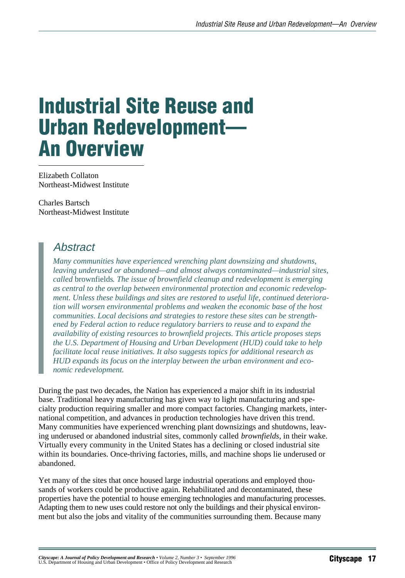# Industrial Site Reuse and Urban Redevelopment— An Overview

Elizabeth Collaton Northeast-Midwest Institute

Charles Bartsch Northeast-Midwest Institute

# Abstract

*Many communities have experienced wrenching plant downsizing and shutdowns, leaving underused or abandoned—and almost always contaminated—industrial sites, called* brownfields*. The issue of brownfield cleanup and redevelopment is emerging as central to the overlap between environmental protection and economic redevelopment. Unless these buildings and sites are restored to useful life, continued deterioration will worsen environmental problems and weaken the economic base of the host communities. Local decisions and strategies to restore these sites can be strengthened by Federal action to reduce regulatory barriers to reuse and to expand the availability of existing resources to brownfield projects. This article proposes steps the U.S. Department of Housing and Urban Development (HUD) could take to help facilitate local reuse initiatives. It also suggests topics for additional research as HUD expands its focus on the interplay between the urban environment and economic redevelopment.*

During the past two decades, the Nation has experienced a major shift in its industrial base. Traditional heavy manufacturing has given way to light manufacturing and specialty production requiring smaller and more compact factories. Changing markets, international competition, and advances in production technologies have driven this trend. Many communities have experienced wrenching plant downsizings and shutdowns, leaving underused or abandoned industrial sites, commonly called *brownfields*, in their wake. Virtually every community in the United States has a declining or closed industrial site within its boundaries. Once-thriving factories, mills, and machine shops lie underused or abandoned.

Yet many of the sites that once housed large industrial operations and employed thousands of workers could be productive again. Rehabilitated and decontaminated, these properties have the potential to house emerging technologies and manufacturing processes. Adapting them to new uses could restore not only the buildings and their physical environment but also the jobs and vitality of the communities surrounding them. Because many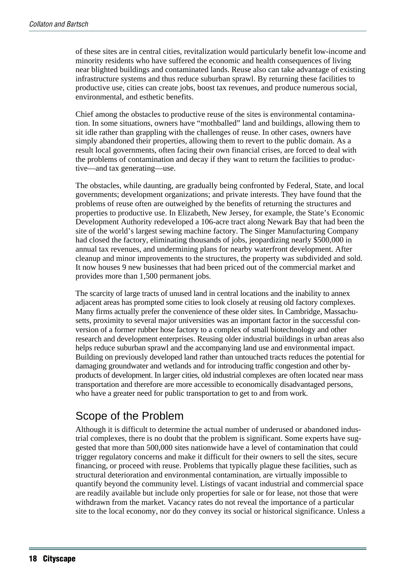of these sites are in central cities, revitalization would particularly benefit low-income and minority residents who have suffered the economic and health consequences of living near blighted buildings and contaminated lands. Reuse also can take advantage of existing infrastructure systems and thus reduce suburban sprawl. By returning these facilities to productive use, cities can create jobs, boost tax revenues, and produce numerous social, environmental, and esthetic benefits.

Chief among the obstacles to productive reuse of the sites is environmental contamination. In some situations, owners have "mothballed" land and buildings, allowing them to sit idle rather than grappling with the challenges of reuse. In other cases, owners have simply abandoned their properties, allowing them to revert to the public domain. As a result local governments, often facing their own financial crises, are forced to deal with the problems of contamination and decay if they want to return the facilities to productive—and tax generating—use.

The obstacles, while daunting, are gradually being confronted by Federal, State, and local governments; development organizations; and private interests. They have found that the problems of reuse often are outweighed by the benefits of returning the structures and properties to productive use. In Elizabeth, New Jersey, for example, the State's Economic Development Authority redeveloped a 106-acre tract along Newark Bay that had been the site of the world's largest sewing machine factory. The Singer Manufacturing Company had closed the factory, eliminating thousands of jobs, jeopardizing nearly \$500,000 in annual tax revenues, and undermining plans for nearby waterfront development. After cleanup and minor improvements to the structures, the property was subdivided and sold. It now houses 9 new businesses that had been priced out of the commercial market and provides more than 1,500 permanent jobs.

The scarcity of large tracts of unused land in central locations and the inability to annex adjacent areas has prompted some cities to look closely at reusing old factory complexes. Many firms actually prefer the convenience of these older sites. In Cambridge, Massachusetts, proximity to several major universities was an important factor in the successful conversion of a former rubber hose factory to a complex of small biotechnology and other research and development enterprises. Reusing older industrial buildings in urban areas also helps reduce suburban sprawl and the accompanying land use and environmental impact. Building on previously developed land rather than untouched tracts reduces the potential for damaging groundwater and wetlands and for introducing traffic congestion and other byproducts of development. In larger cities, old industrial complexes are often located near mass transportation and therefore are more accessible to economically disadvantaged persons, who have a greater need for public transportation to get to and from work.

# Scope of the Problem

Although it is difficult to determine the actual number of underused or abandoned industrial complexes, there is no doubt that the problem is significant. Some experts have suggested that more than 500,000 sites nationwide have a level of contamination that could trigger regulatory concerns and make it difficult for their owners to sell the sites, secure financing, or proceed with reuse. Problems that typically plague these facilities, such as structural deterioration and environmental contamination, are virtually impossible to quantify beyond the community level. Listings of vacant industrial and commercial space are readily available but include only properties for sale or for lease, not those that were withdrawn from the market. Vacancy rates do not reveal the importance of a particular site to the local economy, nor do they convey its social or historical significance. Unless a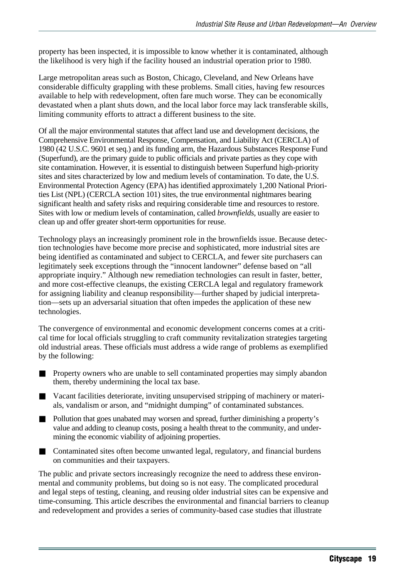property has been inspected, it is impossible to know whether it is contaminated, although the likelihood is very high if the facility housed an industrial operation prior to 1980.

Large metropolitan areas such as Boston, Chicago, Cleveland, and New Orleans have considerable difficulty grappling with these problems. Small cities, having few resources available to help with redevelopment, often fare much worse. They can be economically devastated when a plant shuts down, and the local labor force may lack transferable skills, limiting community efforts to attract a different business to the site.

Of all the major environmental statutes that affect land use and development decisions, the Comprehensive Environmental Response, Compensation, and Liability Act (CERCLA) of 1980 (42 U.S.C. 9601 et seq.) and its funding arm, the Hazardous Substances Response Fund (Superfund), are the primary guide to public officials and private parties as they cope with site contamination. However, it is essential to distinguish between Superfund high-priority sites and sites characterized by low and medium levels of contamination. To date, the U.S. Environmental Protection Agency (EPA) has identified approximately 1,200 National Priorities List (NPL) (CERCLA section 101) sites, the true environmental nightmares bearing significant health and safety risks and requiring considerable time and resources to restore. Sites with low or medium levels of contamination, called *brownfields*, usually are easier to clean up and offer greater short-term opportunities for reuse.

Technology plays an increasingly prominent role in the brownfields issue. Because detection technologies have become more precise and sophisticated, more industrial sites are being identified as contaminated and subject to CERCLA, and fewer site purchasers can legitimately seek exceptions through the "innocent landowner" defense based on "all appropriate inquiry." Although new remediation technologies can result in faster, better, and more cost-effective cleanups, the existing CERCLA legal and regulatory framework for assigning liability and cleanup responsibility—further shaped by judicial interpretation—sets up an adversarial situation that often impedes the application of these new technologies.

The convergence of environmental and economic development concerns comes at a critical time for local officials struggling to craft community revitalization strategies targeting old industrial areas. These officials must address a wide range of problems as exemplified by the following:

- Property owners who are unable to sell contaminated properties may simply abandon them, thereby undermining the local tax base.
- Vacant facilities deteriorate, inviting unsupervised stripping of machinery or materials, vandalism or arson, and "midnight dumping" of contaminated substances.
- Pollution that goes unabated may worsen and spread, further diminishing a property's value and adding to cleanup costs, posing a health threat to the community, and undermining the economic viability of adjoining properties.
- Contaminated sites often become unwanted legal, regulatory, and financial burdens on communities and their taxpayers.

The public and private sectors increasingly recognize the need to address these environmental and community problems, but doing so is not easy. The complicated procedural and legal steps of testing, cleaning, and reusing older industrial sites can be expensive and time-consuming. This article describes the environmental and financial barriers to cleanup and redevelopment and provides a series of community-based case studies that illustrate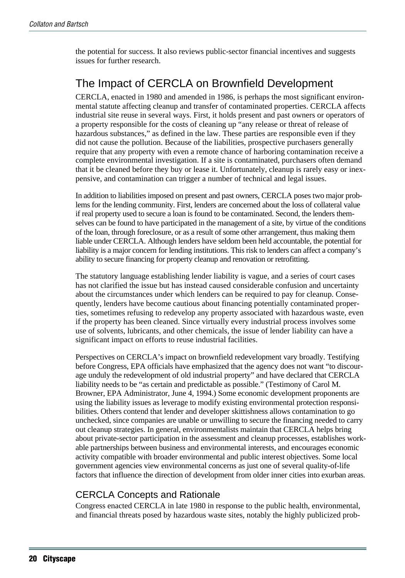the potential for success. It also reviews public-sector financial incentives and suggests issues for further research.

# The Impact of CERCLA on Brownfield Development

CERCLA, enacted in 1980 and amended in 1986, is perhaps the most significant environmental statute affecting cleanup and transfer of contaminated properties. CERCLA affects industrial site reuse in several ways. First, it holds present and past owners or operators of a property responsible for the costs of cleaning up "any release or threat of release of hazardous substances," as defined in the law. These parties are responsible even if they did not cause the pollution. Because of the liabilities, prospective purchasers generally require that any property with even a remote chance of harboring contamination receive a complete environmental investigation. If a site is contaminated, purchasers often demand that it be cleaned before they buy or lease it. Unfortunately, cleanup is rarely easy or inexpensive, and contamination can trigger a number of technical and legal issues.

In addition to liabilities imposed on present and past owners, CERCLA poses two major problems for the lending community. First, lenders are concerned about the loss of collateral value if real property used to secure a loan is found to be contaminated. Second, the lenders themselves can be found to have participated in the management of a site, by virtue of the conditions of the loan, through foreclosure, or as a result of some other arrangement, thus making them liable under CERCLA. Although lenders have seldom been held accountable, the potential for liability is a major concern for lending institutions. This risk to lenders can affect a company's ability to secure financing for property cleanup and renovation or retrofitting.

The statutory language establishing lender liability is vague, and a series of court cases has not clarified the issue but has instead caused considerable confusion and uncertainty about the circumstances under which lenders can be required to pay for cleanup. Consequently, lenders have become cautious about financing potentially contaminated properties, sometimes refusing to redevelop any property associated with hazardous waste, even if the property has been cleaned. Since virtually every industrial process involves some use of solvents, lubricants, and other chemicals, the issue of lender liability can have a significant impact on efforts to reuse industrial facilities.

Perspectives on CERCLA's impact on brownfield redevelopment vary broadly. Testifying before Congress, EPA officials have emphasized that the agency does not want "to discourage unduly the redevelopment of old industrial property" and have declared that CERCLA liability needs to be "as certain and predictable as possible." (Testimony of Carol M. Browner, EPA Administrator, June 4, 1994.) Some economic development proponents are using the liability issues as leverage to modify existing environmental protection responsibilities. Others contend that lender and developer skittishness allows contamination to go unchecked, since companies are unable or unwilling to secure the financing needed to carry out cleanup strategies. In general, environmentalists maintain that CERCLA helps bring about private-sector participation in the assessment and cleanup processes, establishes workable partnerships between business and environmental interests, and encourages economic activity compatible with broader environmental and public interest objectives. Some local government agencies view environmental concerns as just one of several quality-of-life factors that influence the direction of development from older inner cities into exurban areas.

#### CERCLA Concepts and Rationale

Congress enacted CERCLA in late 1980 in response to the public health, environmental, and financial threats posed by hazardous waste sites, notably the highly publicized prob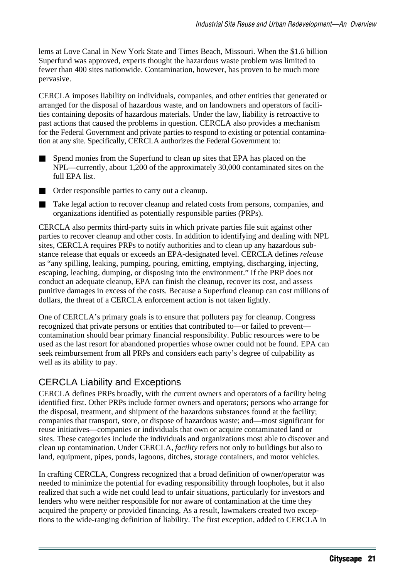lems at Love Canal in New York State and Times Beach, Missouri. When the \$1.6 billion Superfund was approved, experts thought the hazardous waste problem was limited to fewer than 400 sites nationwide. Contamination, however, has proven to be much more pervasive.

CERCLA imposes liability on individuals, companies, and other entities that generated or arranged for the disposal of hazardous waste, and on landowners and operators of facilities containing deposits of hazardous materials. Under the law, liability is retroactive to past actions that caused the problems in question. CERCLA also provides a mechanism for the Federal Government and private parties to respond to existing or potential contamination at any site. Specifically, CERCLA authorizes the Federal Government to:

- Spend monies from the Superfund to clean up sites that EPA has placed on the NPL—currently, about 1,200 of the approximately 30,000 contaminated sites on the full EPA list.
- Order responsible parties to carry out a cleanup.
- Take legal action to recover cleanup and related costs from persons, companies, and organizations identified as potentially responsible parties (PRPs).

CERCLA also permits third-party suits in which private parties file suit against other parties to recover cleanup and other costs. In addition to identifying and dealing with NPL sites, CERCLA requires PRPs to notify authorities and to clean up any hazardous substance release that equals or exceeds an EPA-designated level. CERCLA defines *release* as "any spilling, leaking, pumping, pouring, emitting, emptying, discharging, injecting, escaping, leaching, dumping, or disposing into the environment." If the PRP does not conduct an adequate cleanup, EPA can finish the cleanup, recover its cost, and assess punitive damages in excess of the costs. Because a Superfund cleanup can cost millions of dollars, the threat of a CERCLA enforcement action is not taken lightly.

One of CERCLA's primary goals is to ensure that polluters pay for cleanup. Congress recognized that private persons or entities that contributed to—or failed to prevent contamination should bear primary financial responsibility. Public resources were to be used as the last resort for abandoned properties whose owner could not be found. EPA can seek reimbursement from all PRPs and considers each party's degree of culpability as well as its ability to pay.

#### CERCLA Liability and Exceptions

CERCLA defines PRPs broadly, with the current owners and operators of a facility being identified first. Other PRPs include former owners and operators; persons who arrange for the disposal, treatment, and shipment of the hazardous substances found at the facility; companies that transport, store, or dispose of hazardous waste; and—most significant for reuse initiatives—companies or individuals that own or acquire contaminated land or sites. These categories include the individuals and organizations most able to discover and clean up contamination. Under CERCLA, *facility* refers not only to buildings but also to land, equipment, pipes, ponds, lagoons, ditches, storage containers, and motor vehicles.

In crafting CERCLA, Congress recognized that a broad definition of owner/operator was needed to minimize the potential for evading responsibility through loopholes, but it also realized that such a wide net could lead to unfair situations, particularly for investors and lenders who were neither responsible for nor aware of contamination at the time they acquired the property or provided financing. As a result, lawmakers created two exceptions to the wide-ranging definition of liability. The first exception, added to CERCLA in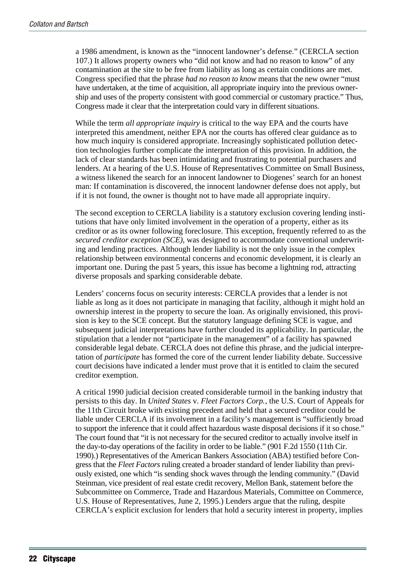a 1986 amendment, is known as the "innocent landowner's defense." (CERCLA section 107.) It allows property owners who "did not know and had no reason to know" of any contamination at the site to be free from liability as long as certain conditions are met. Congress specified that the phrase *had no reason to know* means that the new owner "must have undertaken, at the time of acquisition, all appropriate inquiry into the previous ownership and uses of the property consistent with good commercial or customary practice." Thus, Congress made it clear that the interpretation could vary in different situations.

While the term *all appropriate inquiry* is critical to the way EPA and the courts have interpreted this amendment, neither EPA nor the courts has offered clear guidance as to how much inquiry is considered appropriate. Increasingly sophisticated pollution detection technologies further complicate the interpretation of this provision. In addition, the lack of clear standards has been intimidating and frustrating to potential purchasers and lenders. At a hearing of the U.S. House of Representatives Committee on Small Business, a witness likened the search for an innocent landowner to Diogenes' search for an honest man: If contamination is discovered, the innocent landowner defense does not apply, but if it is not found, the owner is thought not to have made all appropriate inquiry.

The second exception to CERCLA liability is a statutory exclusion covering lending institutions that have only limited involvement in the operation of a property, either as its creditor or as its owner following foreclosure. This exception, frequently referred to as the *secured creditor exception (SCE)*, was designed to accommodate conventional underwriting and lending practices. Although lender liability is not the only issue in the complex relationship between environmental concerns and economic development, it is clearly an important one. During the past 5 years, this issue has become a lightning rod, attracting diverse proposals and sparking considerable debate.

Lenders' concerns focus on security interests: CERCLA provides that a lender is not liable as long as it does not participate in managing that facility, although it might hold an ownership interest in the property to secure the loan. As originally envisioned, this provision is key to the SCE concept. But the statutory language defining SCE is vague, and subsequent judicial interpretations have further clouded its applicability. In particular, the stipulation that a lender not "participate in the management" of a facility has spawned considerable legal debate. CERCLA does not define this phrase, and the judicial interpretation of *participate* has formed the core of the current lender liability debate. Successive court decisions have indicated a lender must prove that it is entitled to claim the secured creditor exemption.

A critical 1990 judicial decision created considerable turmoil in the banking industry that persists to this day. In *United States* v. *Fleet Factors Corp.*, the U.S. Court of Appeals for the 11th Circuit broke with existing precedent and held that a secured creditor could be liable under CERCLA if its involvement in a facility's management is "sufficiently broad to support the inference that it could affect hazardous waste disposal decisions if it so chose." The court found that "it is not necessary for the secured creditor to actually involve itself in the day-to-day operations of the facility in order to be liable." (901 F.2d 1550 (11th Cir. 1990).) Representatives of the American Bankers Association (ABA) testified before Congress that the *Fleet Factors* ruling created a broader standard of lender liability than previously existed, one which "is sending shock waves through the lending community." (David Steinman, vice president of real estate credit recovery, Mellon Bank, statement before the Subcommittee on Commerce, Trade and Hazardous Materials, Committee on Commerce, U.S. House of Representatives, June 2, 1995.) Lenders argue that the ruling, despite CERCLA's explicit exclusion for lenders that hold a security interest in property, implies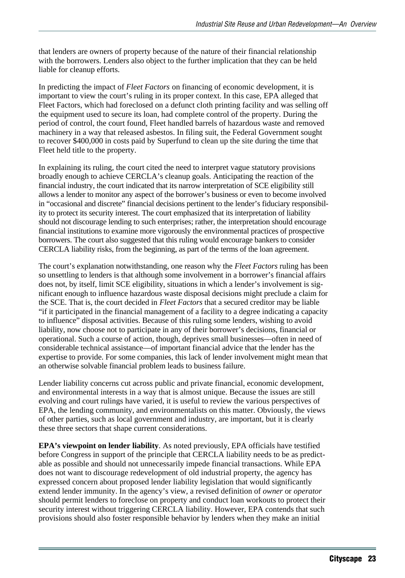that lenders are owners of property because of the nature of their financial relationship with the borrowers. Lenders also object to the further implication that they can be held liable for cleanup efforts.

In predicting the impact of *Fleet Factors* on financing of economic development, it is important to view the court's ruling in its proper context. In this case, EPA alleged that Fleet Factors, which had foreclosed on a defunct cloth printing facility and was selling off the equipment used to secure its loan, had complete control of the property. During the period of control, the court found, Fleet handled barrels of hazardous waste and removed machinery in a way that released asbestos. In filing suit, the Federal Government sought to recover \$400,000 in costs paid by Superfund to clean up the site during the time that Fleet held title to the property.

In explaining its ruling, the court cited the need to interpret vague statutory provisions broadly enough to achieve CERCLA's cleanup goals. Anticipating the reaction of the financial industry, the court indicated that its narrow interpretation of SCE eligibility still allows a lender to monitor any aspect of the borrower's business or even to become involved in "occasional and discrete" financial decisions pertinent to the lender's fiduciary responsibility to protect its security interest. The court emphasized that its interpretation of liability should not discourage lending to such enterprises; rather, the interpretation should encourage financial institutions to examine more vigorously the environmental practices of prospective borrowers. The court also suggested that this ruling would encourage bankers to consider CERCLA liability risks, from the beginning, as part of the terms of the loan agreement.

The court's explanation notwithstanding, one reason why the *Fleet Factors* ruling has been so unsettling to lenders is that although some involvement in a borrower's financial affairs does not, by itself, limit SCE eligibility, situations in which a lender's involvement is significant enough to influence hazardous waste disposal decisions might preclude a claim for the SCE. That is, the court decided in *Fleet Factors* that a secured creditor may be liable "if it participated in the financial management of a facility to a degree indicating a capacity to influence" disposal activities. Because of this ruling some lenders, wishing to avoid liability, now choose not to participate in any of their borrower's decisions, financial or operational. Such a course of action, though, deprives small businesses—often in need of considerable technical assistance—of important financial advice that the lender has the expertise to provide. For some companies, this lack of lender involvement might mean that an otherwise solvable financial problem leads to business failure.

Lender liability concerns cut across public and private financial, economic development, and environmental interests in a way that is almost unique. Because the issues are still evolving and court rulings have varied, it is useful to review the various perspectives of EPA, the lending community, and environmentalists on this matter. Obviously, the views of other parties, such as local government and industry, are important, but it is clearly these three sectors that shape current considerations.

**EPA's viewpoint on lender liability**. As noted previously, EPA officials have testified before Congress in support of the principle that CERCLA liability needs to be as predictable as possible and should not unnecessarily impede financial transactions. While EPA does not want to discourage redevelopment of old industrial property, the agency has expressed concern about proposed lender liability legislation that would significantly extend lender immunity. In the agency's view, a revised definition of *owner* or *operator* should permit lenders to foreclose on property and conduct loan workouts to protect their security interest without triggering CERCLA liability. However, EPA contends that such provisions should also foster responsible behavior by lenders when they make an initial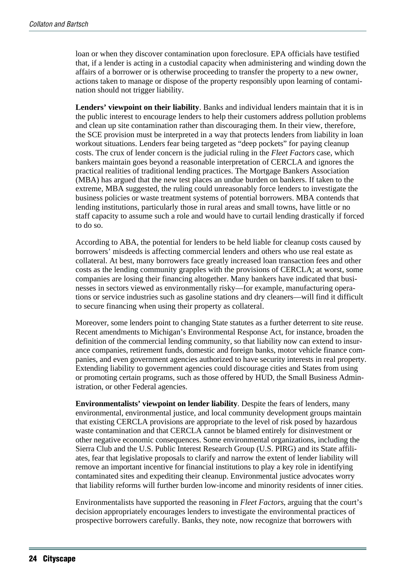loan or when they discover contamination upon foreclosure. EPA officials have testified that, if a lender is acting in a custodial capacity when administering and winding down the affairs of a borrower or is otherwise proceeding to transfer the property to a new owner, actions taken to manage or dispose of the property responsibly upon learning of contamination should not trigger liability.

**Lenders' viewpoint on their liability**. Banks and individual lenders maintain that it is in the public interest to encourage lenders to help their customers address pollution problems and clean up site contamination rather than discouraging them. In their view, therefore, the SCE provision must be interpreted in a way that protects lenders from liability in loan workout situations. Lenders fear being targeted as "deep pockets" for paying cleanup costs. The crux of lender concern is the judicial ruling in the *Fleet Factors* case, which bankers maintain goes beyond a reasonable interpretation of CERCLA and ignores the practical realities of traditional lending practices. The Mortgage Bankers Association (MBA) has argued that the new test places an undue burden on bankers. If taken to the extreme, MBA suggested, the ruling could unreasonably force lenders to investigate the business policies or waste treatment systems of potential borrowers. MBA contends that lending institutions, particularly those in rural areas and small towns, have little or no staff capacity to assume such a role and would have to curtail lending drastically if forced to do so.

According to ABA, the potential for lenders to be held liable for cleanup costs caused by borrowers' misdeeds is affecting commercial lenders and others who use real estate as collateral. At best, many borrowers face greatly increased loan transaction fees and other costs as the lending community grapples with the provisions of CERCLA; at worst, some companies are losing their financing altogether. Many bankers have indicated that businesses in sectors viewed as environmentally risky—for example, manufacturing operations or service industries such as gasoline stations and dry cleaners—will find it difficult to secure financing when using their property as collateral.

Moreover, some lenders point to changing State statutes as a further deterrent to site reuse. Recent amendments to Michigan's Environmental Response Act, for instance, broaden the definition of the commercial lending community, so that liability now can extend to insurance companies, retirement funds, domestic and foreign banks, motor vehicle finance companies, and even government agencies authorized to have security interests in real property. Extending liability to government agencies could discourage cities and States from using or promoting certain programs, such as those offered by HUD, the Small Business Administration, or other Federal agencies.

**Environmentalists' viewpoint on lender liability**. Despite the fears of lenders, many environmental, environmental justice, and local community development groups maintain that existing CERCLA provisions are appropriate to the level of risk posed by hazardous waste contamination and that CERCLA cannot be blamed entirely for disinvestment or other negative economic consequences. Some environmental organizations, including the Sierra Club and the U.S. Public Interest Research Group (U.S. PIRG) and its State affiliates, fear that legislative proposals to clarify and narrow the extent of lender liability will remove an important incentive for financial institutions to play a key role in identifying contaminated sites and expediting their cleanup. Environmental justice advocates worry that liability reforms will further burden low-income and minority residents of inner cities.

Environmentalists have supported the reasoning in *Fleet Factors*, arguing that the court's decision appropriately encourages lenders to investigate the environmental practices of prospective borrowers carefully. Banks, they note, now recognize that borrowers with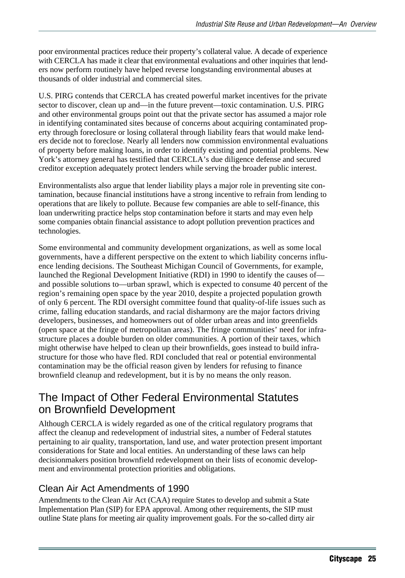poor environmental practices reduce their property's collateral value. A decade of experience with CERCLA has made it clear that environmental evaluations and other inquiries that lenders now perform routinely have helped reverse longstanding environmental abuses at thousands of older industrial and commercial sites.

U.S. PIRG contends that CERCLA has created powerful market incentives for the private sector to discover, clean up and—in the future prevent—toxic contamination. U.S. PIRG and other environmental groups point out that the private sector has assumed a major role in identifying contaminated sites because of concerns about acquiring contaminated property through foreclosure or losing collateral through liability fears that would make lenders decide not to foreclose. Nearly all lenders now commission environmental evaluations of property before making loans, in order to identify existing and potential problems. New York's attorney general has testified that CERCLA's due diligence defense and secured creditor exception adequately protect lenders while serving the broader public interest.

Environmentalists also argue that lender liability plays a major role in preventing site contamination, because financial institutions have a strong incentive to refrain from lending to operations that are likely to pollute. Because few companies are able to self-finance, this loan underwriting practice helps stop contamination before it starts and may even help some companies obtain financial assistance to adopt pollution prevention practices and technologies.

Some environmental and community development organizations, as well as some local governments, have a different perspective on the extent to which liability concerns influence lending decisions. The Southeast Michigan Council of Governments, for example, launched the Regional Development Initiative (RDI) in 1990 to identify the causes of and possible solutions to—urban sprawl, which is expected to consume 40 percent of the region's remaining open space by the year 2010, despite a projected population growth of only 6 percent. The RDI oversight committee found that quality-of-life issues such as crime, falling education standards, and racial disharmony are the major factors driving developers, businesses, and homeowners out of older urban areas and into greenfields (open space at the fringe of metropolitan areas). The fringe communities' need for infrastructure places a double burden on older communities. A portion of their taxes, which might otherwise have helped to clean up their brownfields, goes instead to build infrastructure for those who have fled. RDI concluded that real or potential environmental contamination may be the official reason given by lenders for refusing to finance brownfield cleanup and redevelopment, but it is by no means the only reason.

# The Impact of Other Federal Environmental Statutes on Brownfield Development

Although CERCLA is widely regarded as one of the critical regulatory programs that affect the cleanup and redevelopment of industrial sites, a number of Federal statutes pertaining to air quality, transportation, land use, and water protection present important considerations for State and local entities. An understanding of these laws can help decisionmakers position brownfield redevelopment on their lists of economic development and environmental protection priorities and obligations.

#### Clean Air Act Amendments of 1990

Amendments to the Clean Air Act (CAA) require States to develop and submit a State Implementation Plan (SIP) for EPA approval. Among other requirements, the SIP must outline State plans for meeting air quality improvement goals. For the so-called dirty air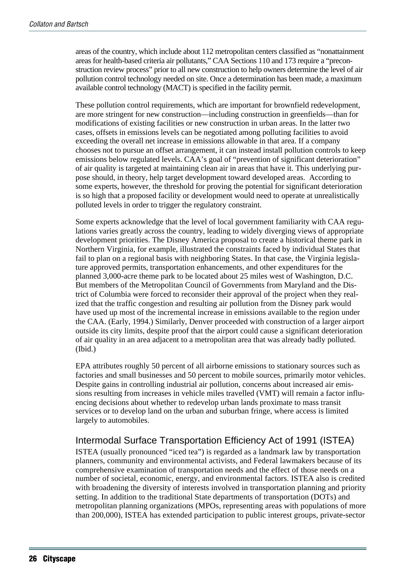areas of the country, which include about 112 metropolitan centers classified as "nonattainment areas for health-based criteria air pollutants," CAA Sections 110 and 173 require a "preconstruction review process" prior to all new construction to help owners determine the level of air pollution control technology needed on site. Once a determination has been made, a maximum available control technology (MACT) is specified in the facility permit.

These pollution control requirements, which are important for brownfield redevelopment, are more stringent for new construction—including construction in greenfields—than for modifications of existing facilities or new construction in urban areas. In the latter two cases, offsets in emissions levels can be negotiated among polluting facilities to avoid exceeding the overall net increase in emissions allowable in that area. If a company chooses not to pursue an offset arrangement, it can instead install pollution controls to keep emissions below regulated levels. CAA's goal of "prevention of significant deterioration" of air quality is targeted at maintaining clean air in areas that have it. This underlying purpose should, in theory, help target development toward developed areas. According to some experts, however, the threshold for proving the potential for significant deterioration is so high that a proposed facility or development would need to operate at unrealistically polluted levels in order to trigger the regulatory constraint.

Some experts acknowledge that the level of local government familiarity with CAA regulations varies greatly across the country, leading to widely diverging views of appropriate development priorities. The Disney America proposal to create a historical theme park in Northern Virginia, for example, illustrated the constraints faced by individual States that fail to plan on a regional basis with neighboring States. In that case, the Virginia legislature approved permits, transportation enhancements, and other expenditures for the planned 3,000-acre theme park to be located about 25 miles west of Washington, D.C. But members of the Metropolitan Council of Governments from Maryland and the District of Columbia were forced to reconsider their approval of the project when they realized that the traffic congestion and resulting air pollution from the Disney park would have used up most of the incremental increase in emissions available to the region under the CAA. (Early, 1994.) Similarly, Denver proceeded with construction of a larger airport outside its city limits, despite proof that the airport could cause a significant deterioration of air quality in an area adjacent to a metropolitan area that was already badly polluted. (Ibid.)

EPA attributes roughly 50 percent of all airborne emissions to stationary sources such as factories and small businesses and 50 percent to mobile sources, primarily motor vehicles. Despite gains in controlling industrial air pollution, concerns about increased air emissions resulting from increases in vehicle miles travelled (VMT) will remain a factor influencing decisions about whether to redevelop urban lands proximate to mass transit services or to develop land on the urban and suburban fringe, where access is limited largely to automobiles.

## Intermodal Surface Transportation Efficiency Act of 1991 (ISTEA)

ISTEA (usually pronounced "iced tea") is regarded as a landmark law by transportation planners, community and environmental activists, and Federal lawmakers because of its comprehensive examination of transportation needs and the effect of those needs on a number of societal, economic, energy, and environmental factors. ISTEA also is credited with broadening the diversity of interests involved in transportation planning and priority setting. In addition to the traditional State departments of transportation (DOTs) and metropolitan planning organizations (MPOs, representing areas with populations of more than 200,000), ISTEA has extended participation to public interest groups, private-sector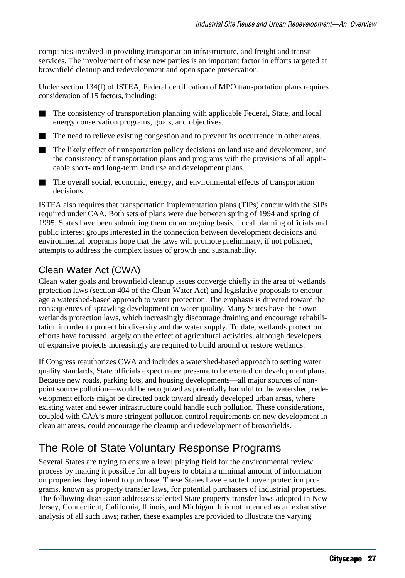companies involved in providing transportation infrastructure, and freight and transit services. The involvement of these new parties is an important factor in efforts targeted at brownfield cleanup and redevelopment and open space preservation.

Under section 134(f) of ISTEA, Federal certification of MPO transportation plans requires consideration of 15 factors, including:

■ The consistency of transportation planning with applicable Federal, State, and local energy conservation programs, goals, and objectives.

- The need to relieve existing congestion and to prevent its occurrence in other areas.
- The likely effect of transportation policy decisions on land use and development, and the consistency of transportation plans and programs with the provisions of all applicable short- and long-term land use and development plans.
- The overall social, economic, energy, and environmental effects of transportation decisions.

ISTEA also requires that transportation implementation plans (TIPs) concur with the SIPs required under CAA. Both sets of plans were due between spring of 1994 and spring of 1995. States have been submitting them on an ongoing basis. Local planning officials and public interest groups interested in the connection between development decisions and environmental programs hope that the laws will promote preliminary, if not polished, attempts to address the complex issues of growth and sustainability.

#### Clean Water Act (CWA)

Clean water goals and brownfield cleanup issues converge chiefly in the area of wetlands protection laws (section 404 of the Clean Water Act) and legislative proposals to encourage a watershed-based approach to water protection. The emphasis is directed toward the consequences of sprawling development on water quality. Many States have their own wetlands protection laws, which increasingly discourage draining and encourage rehabilitation in order to protect biodiversity and the water supply. To date, wetlands protection efforts have focussed largely on the effect of agricultural activities, although developers of expansive projects increasingly are required to build around or restore wetlands.

If Congress reauthorizes CWA and includes a watershed-based approach to setting water quality standards, State officials expect more pressure to be exerted on development plans. Because new roads, parking lots, and housing developments—all major sources of nonpoint source pollution—would be recognized as potentially harmful to the watershed, redevelopment efforts might be directed back toward already developed urban areas, where existing water and sewer infrastructure could handle such pollution. These considerations, coupled with CAA's more stringent pollution control requirements on new development in clean air areas, could encourage the cleanup and redevelopment of brownfields.

# The Role of State Voluntary Response Programs

Several States are trying to ensure a level playing field for the environmental review process by making it possible for all buyers to obtain a minimal amount of information on properties they intend to purchase. These States have enacted buyer protection programs, known as property transfer laws, for potential purchasers of industrial properties. The following discussion addresses selected State property transfer laws adopted in New Jersey, Connecticut, California, Illinois, and Michigan. It is not intended as an exhaustive analysis of all such laws; rather, these examples are provided to illustrate the varying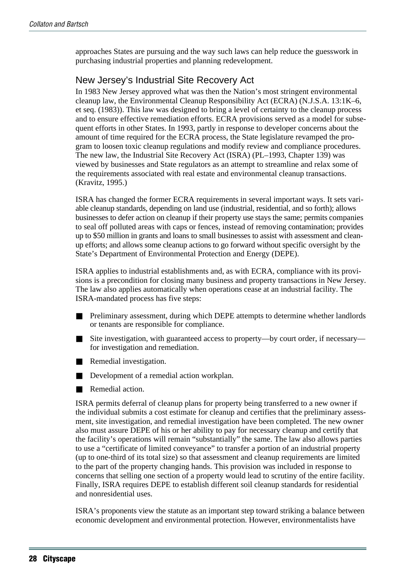approaches States are pursuing and the way such laws can help reduce the guesswork in purchasing industrial properties and planning redevelopment.

#### New Jersey's Industrial Site Recovery Act

In 1983 New Jersey approved what was then the Nation's most stringent environmental cleanup law, the Environmental Cleanup Responsibility Act (ECRA) (N.J.S.A. 13:1K–6, et seq. (1983)). This law was designed to bring a level of certainty to the cleanup process and to ensure effective remediation efforts. ECRA provisions served as a model for subsequent efforts in other States. In 1993, partly in response to developer concerns about the amount of time required for the ECRA process, the State legislature revamped the program to loosen toxic cleanup regulations and modify review and compliance procedures. The new law, the Industrial Site Recovery Act (ISRA) (PL–1993, Chapter 139) was viewed by businesses and State regulators as an attempt to streamline and relax some of the requirements associated with real estate and environmental cleanup transactions. (Kravitz, 1995.)

ISRA has changed the former ECRA requirements in several important ways. It sets variable cleanup standards, depending on land use (industrial, residential, and so forth); allows businesses to defer action on cleanup if their property use stays the same; permits companies to seal off polluted areas with caps or fences, instead of removing contamination; provides up to \$50 million in grants and loans to small businesses to assist with assessment and cleanup efforts; and allows some cleanup actions to go forward without specific oversight by the State's Department of Environmental Protection and Energy (DEPE).

ISRA applies to industrial establishments and, as with ECRA, compliance with its provisions is a precondition for closing many business and property transactions in New Jersey. The law also applies automatically when operations cease at an industrial facility. The ISRA-mandated process has five steps:

- Preliminary assessment, during which DEPE attempts to determine whether landlords or tenants are responsible for compliance.
- Site investigation, with guaranteed access to property-- by court order, if necessaryfor investigation and remediation.
- Remedial investigation.
- Development of a remedial action workplan.
- Remedial action.

ISRA permits deferral of cleanup plans for property being transferred to a new owner if the individual submits a cost estimate for cleanup and certifies that the preliminary assessment, site investigation, and remedial investigation have been completed. The new owner also must assure DEPE of his or her ability to pay for necessary cleanup and certify that the facility's operations will remain "substantially" the same. The law also allows parties to use a "certificate of limited conveyance" to transfer a portion of an industrial property (up to one-third of its total size) so that assessment and cleanup requirements are limited to the part of the property changing hands. This provision was included in response to concerns that selling one section of a property would lead to scrutiny of the entire facility. Finally, ISRA requires DEPE to establish different soil cleanup standards for residential and nonresidential uses.

ISRA's proponents view the statute as an important step toward striking a balance between economic development and environmental protection. However, environmentalists have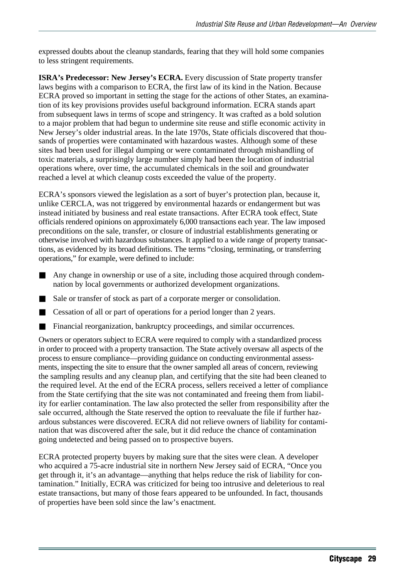expressed doubts about the cleanup standards, fearing that they will hold some companies to less stringent requirements.

**ISRA's Predecessor: New Jersey's ECRA.** Every discussion of State property transfer laws begins with a comparison to ECRA, the first law of its kind in the Nation. Because ECRA proved so important in setting the stage for the actions of other States, an examination of its key provisions provides useful background information. ECRA stands apart from subsequent laws in terms of scope and stringency. It was crafted as a bold solution to a major problem that had begun to undermine site reuse and stifle economic activity in New Jersey's older industrial areas. In the late 1970s, State officials discovered that thousands of properties were contaminated with hazardous wastes. Although some of these sites had been used for illegal dumping or were contaminated through mishandling of toxic materials, a surprisingly large number simply had been the location of industrial operations where, over time, the accumulated chemicals in the soil and groundwater reached a level at which cleanup costs exceeded the value of the property.

ECRA's sponsors viewed the legislation as a sort of buyer's protection plan, because it, unlike CERCLA, was not triggered by environmental hazards or endangerment but was instead initiated by business and real estate transactions. After ECRA took effect, State officials rendered opinions on approximately 6,000 transactions each year. The law imposed preconditions on the sale, transfer, or closure of industrial establishments generating or otherwise involved with hazardous substances. It applied to a wide range of property transactions, as evidenced by its broad definitions. The terms "closing, terminating, or transferring operations," for example, were defined to include:

- Any change in ownership or use of a site, including those acquired through condemnation by local governments or authorized development organizations.
- Sale or transfer of stock as part of a corporate merger or consolidation.
- Cessation of all or part of operations for a period longer than 2 years.
- Financial reorganization, bankruptcy proceedings, and similar occurrences.

Owners or operators subject to ECRA were required to comply with a standardized process in order to proceed with a property transaction. The State actively oversaw all aspects of the process to ensure compliance—providing guidance on conducting environmental assessments, inspecting the site to ensure that the owner sampled all areas of concern, reviewing the sampling results and any cleanup plan, and certifying that the site had been cleaned to the required level. At the end of the ECRA process, sellers received a letter of compliance from the State certifying that the site was not contaminated and freeing them from liability for earlier contamination. The law also protected the seller from responsibility after the sale occurred, although the State reserved the option to reevaluate the file if further hazardous substances were discovered. ECRA did not relieve owners of liability for contamination that was discovered after the sale, but it did reduce the chance of contamination going undetected and being passed on to prospective buyers.

ECRA protected property buyers by making sure that the sites were clean. A developer who acquired a 75-acre industrial site in northern New Jersey said of ECRA, "Once you get through it, it's an advantage—anything that helps reduce the risk of liability for contamination." Initially, ECRA was criticized for being too intrusive and deleterious to real estate transactions, but many of those fears appeared to be unfounded. In fact, thousands of properties have been sold since the law's enactment.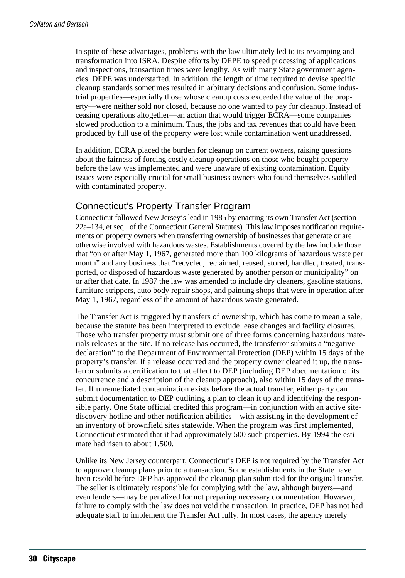In spite of these advantages, problems with the law ultimately led to its revamping and transformation into ISRA. Despite efforts by DEPE to speed processing of applications and inspections, transaction times were lengthy. As with many State government agencies, DEPE was understaffed. In addition, the length of time required to devise specific cleanup standards sometimes resulted in arbitrary decisions and confusion. Some industrial properties—especially those whose cleanup costs exceeded the value of the property—were neither sold nor closed, because no one wanted to pay for cleanup. Instead of ceasing operations altogether—an action that would trigger ECRA—some companies slowed production to a minimum. Thus, the jobs and tax revenues that could have been produced by full use of the property were lost while contamination went unaddressed.

In addition, ECRA placed the burden for cleanup on current owners, raising questions about the fairness of forcing costly cleanup operations on those who bought property before the law was implemented and were unaware of existing contamination. Equity issues were especially crucial for small business owners who found themselves saddled with contaminated property.

#### Connecticut's Property Transfer Program

Connecticut followed New Jersey's lead in 1985 by enacting its own Transfer Act (section 22a–134, et seq., of the Connecticut General Statutes). This law imposes notification requirements on property owners when transferring ownership of businesses that generate or are otherwise involved with hazardous wastes. Establishments covered by the law include those that "on or after May 1, 1967, generated more than 100 kilograms of hazardous waste per month" and any business that "recycled, reclaimed, reused, stored, handled, treated, transported, or disposed of hazardous waste generated by another person or municipality" on or after that date. In 1987 the law was amended to include dry cleaners, gasoline stations, furniture strippers, auto body repair shops, and painting shops that were in operation after May 1, 1967, regardless of the amount of hazardous waste generated.

The Transfer Act is triggered by transfers of ownership, which has come to mean a sale, because the statute has been interpreted to exclude lease changes and facility closures. Those who transfer property must submit one of three forms concerning hazardous materials releases at the site. If no release has occurred, the transferror submits a "negative declaration" to the Department of Environmental Protection (DEP) within 15 days of the property's transfer. If a release occurred and the property owner cleaned it up, the transferror submits a certification to that effect to DEP (including DEP documentation of its concurrence and a description of the cleanup approach), also within 15 days of the transfer. If unremediated contamination exists before the actual transfer, either party can submit documentation to DEP outlining a plan to clean it up and identifying the responsible party. One State official credited this program—in conjunction with an active sitediscovery hotline and other notification abilities—with assisting in the development of an inventory of brownfield sites statewide. When the program was first implemented, Connecticut estimated that it had approximately 500 such properties. By 1994 the estimate had risen to about 1,500.

Unlike its New Jersey counterpart, Connecticut's DEP is not required by the Transfer Act to approve cleanup plans prior to a transaction. Some establishments in the State have been resold before DEP has approved the cleanup plan submitted for the original transfer. The seller is ultimately responsible for complying with the law, although buyers—and even lenders—may be penalized for not preparing necessary documentation. However, failure to comply with the law does not void the transaction. In practice, DEP has not had adequate staff to implement the Transfer Act fully. In most cases, the agency merely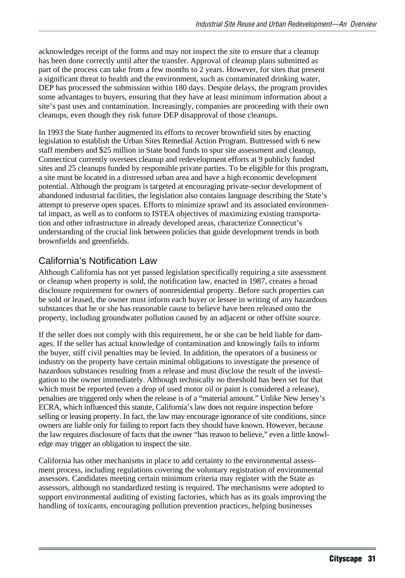acknowledges receipt of the forms and may not inspect the site to ensure that a cleanup has been done correctly until after the transfer. Approval of cleanup plans submitted as part of the process can take from a few months to 2 years. However, for sites that present a significant threat to health and the environment, such as contaminated drinking water, DEP has processed the submission within 180 days. Despite delays, the program provides some advantages to buyers, ensuring that they have at least minimum information about a site's past uses and contamination. Increasingly, companies are proceeding with their own cleanups, even though they risk future DEP disapproval of those cleanups.

In 1993 the State further augmented its efforts to recover brownfield sites by enacting legislation to establish the Urban Sites Remedial Action Program. Buttressed with 6 new staff members and \$25 million in State bond funds to spur site assessment and cleanup, Connecticut currently oversees cleanup and redevelopment efforts at 9 publicly funded sites and 25 cleanups funded by responsible private parties. To be eligible for this program, a site must be located in a distressed urban area and have a high economic development potential. Although the program is targeted at encouraging private-sector development of abandoned industrial facilities, the legislation also contains language describing the State's attempt to preserve open spaces. Efforts to minimize sprawl and its associated environmental impact, as well as to conform to ISTEA objectives of maximizing existing transportation and other infrastructure in already developed areas, characterize Connecticut's understanding of the crucial link between policies that guide development trends in both brownfields and greenfields.

#### California's Notification Law

Although California has not yet passed legislation specifically requiring a site assessment or cleanup when property is sold, the notification law, enacted in 1987, creates a broad disclosure requirement for owners of nonresidential property. Before such properties can be sold or leased, the owner must inform each buyer or lessee in writing of any hazardous substances that he or she has reasonable cause to believe have been released onto the property, including groundwater pollution caused by an adjacent or other offsite source.

If the seller does not comply with this requirement, he or she can be held liable for damages. If the seller has actual knowledge of contamination and knowingly fails to inform the buyer, stiff civil penalties may be levied. In addition, the operators of a business or industry on the property have certain minimal obligations to investigate the presence of hazardous substances resulting from a release and must disclose the result of the investigation to the owner immediately. Although technically no threshold has been set for that which must be reported (even a drop of used motor oil or paint is considered a release), penalties are triggered only when the release is of a "material amount." Unlike New Jersey's ECRA, which influenced this statute, California's law does not require inspection before selling or leasing property. In fact, the law may encourage ignorance of site conditions, since owners are liable only for failing to report facts they should have known. However, because the law requires disclosure of facts that the owner "has reason to believe," even a little knowledge may trigger an obligation to inspect the site.

California has other mechanisms in place to add certainty to the environmental assessment process, including regulations covering the voluntary registration of environmental assessors. Candidates meeting certain minimum criteria may register with the State as assessors, although no standardized testing is required. The mechanisms were adopted to support environmental auditing of existing factories, which has as its goals improving the handling of toxicants, encouraging pollution prevention practices, helping businesses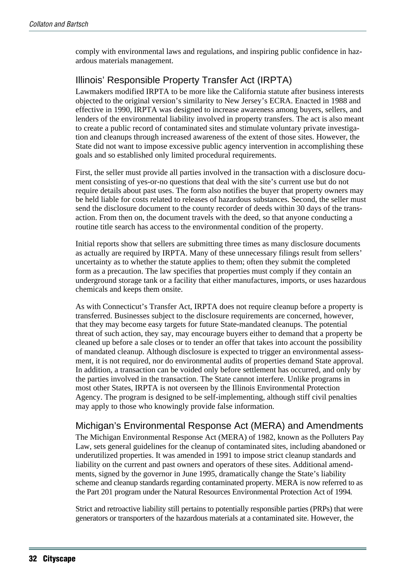comply with environmental laws and regulations, and inspiring public confidence in hazardous materials management.

## Illinois' Responsible Property Transfer Act (IRPTA)

Lawmakers modified IRPTA to be more like the California statute after business interests objected to the original version's similarity to New Jersey's ECRA. Enacted in 1988 and effective in 1990, IRPTA was designed to increase awareness among buyers, sellers, and lenders of the environmental liability involved in property transfers. The act is also meant to create a public record of contaminated sites and stimulate voluntary private investigation and cleanups through increased awareness of the extent of those sites. However, the State did not want to impose excessive public agency intervention in accomplishing these goals and so established only limited procedural requirements.

First, the seller must provide all parties involved in the transaction with a disclosure document consisting of yes-or-no questions that deal with the site's current use but do not require details about past uses. The form also notifies the buyer that property owners may be held liable for costs related to releases of hazardous substances. Second, the seller must send the disclosure document to the county recorder of deeds within 30 days of the transaction. From then on, the document travels with the deed, so that anyone conducting a routine title search has access to the environmental condition of the property.

Initial reports show that sellers are submitting three times as many disclosure documents as actually are required by IRPTA. Many of these unnecessary filings result from sellers' uncertainty as to whether the statute applies to them; often they submit the completed form as a precaution. The law specifies that properties must comply if they contain an underground storage tank or a facility that either manufactures, imports, or uses hazardous chemicals and keeps them onsite.

As with Connecticut's Transfer Act, IRPTA does not require cleanup before a property is transferred. Businesses subject to the disclosure requirements are concerned, however, that they may become easy targets for future State-mandated cleanups. The potential threat of such action, they say, may encourage buyers either to demand that a property be cleaned up before a sale closes or to tender an offer that takes into account the possibility of mandated cleanup. Although disclosure is expected to trigger an environmental assessment, it is not required, nor do environmental audits of properties demand State approval. In addition, a transaction can be voided only before settlement has occurred, and only by the parties involved in the transaction. The State cannot interfere. Unlike programs in most other States, IRPTA is not overseen by the Illinois Environmental Protection Agency. The program is designed to be self-implementing, although stiff civil penalties may apply to those who knowingly provide false information.

#### Michigan's Environmental Response Act (MERA) and Amendments

The Michigan Environmental Response Act (MERA) of 1982, known as the Polluters Pay Law, sets general guidelines for the cleanup of contaminated sites, including abandoned or underutilized properties. It was amended in 1991 to impose strict cleanup standards and liability on the current and past owners and operators of these sites. Additional amendments, signed by the governor in June 1995, dramatically change the State's liability scheme and cleanup standards regarding contaminated property. MERA is now referred to as the Part 201 program under the Natural Resources Environmental Protection Act of 1994.

Strict and retroactive liability still pertains to potentially responsible parties (PRPs) that were generators or transporters of the hazardous materials at a contaminated site. However, the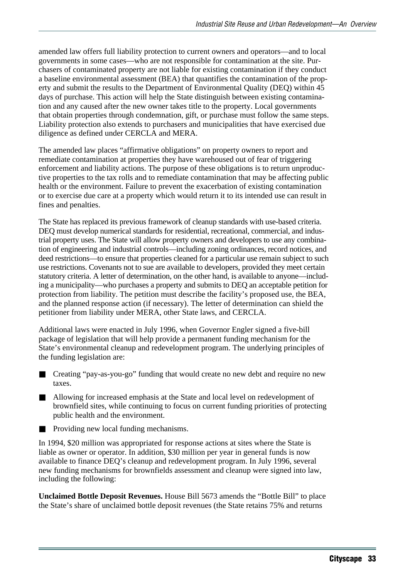amended law offers full liability protection to current owners and operators—and to local governments in some cases—who are not responsible for contamination at the site. Purchasers of contaminated property are not liable for existing contamination if they conduct a baseline environmental assessment (BEA) that quantifies the contamination of the property and submit the results to the Department of Environmental Quality (DEQ) within 45 days of purchase. This action will help the State distinguish between existing contamination and any caused after the new owner takes title to the property. Local governments that obtain properties through condemnation, gift, or purchase must follow the same steps. Liability protection also extends to purchasers and municipalities that have exercised due diligence as defined under CERCLA and MERA.

The amended law places "affirmative obligations" on property owners to report and remediate contamination at properties they have warehoused out of fear of triggering enforcement and liability actions. The purpose of these obligations is to return unproductive properties to the tax rolls and to remediate contamination that may be affecting public health or the environment. Failure to prevent the exacerbation of existing contamination or to exercise due care at a property which would return it to its intended use can result in fines and penalties.

The State has replaced its previous framework of cleanup standards with use-based criteria. DEQ must develop numerical standards for residential, recreational, commercial, and industrial property uses. The State will allow property owners and developers to use any combination of engineering and industrial controls—including zoning ordinances, record notices, and deed restrictions—to ensure that properties cleaned for a particular use remain subject to such use restrictions. Covenants not to sue are available to developers, provided they meet certain statutory criteria. A letter of determination, on the other hand, is available to anyone—including a municipality—who purchases a property and submits to DEQ an acceptable petition for protection from liability. The petition must describe the facility's proposed use, the BEA, and the planned response action (if necessary). The letter of determination can shield the petitioner from liability under MERA, other State laws, and CERCLA.

Additional laws were enacted in July 1996, when Governor Engler signed a five-bill package of legislation that will help provide a permanent funding mechanism for the State's environmental cleanup and redevelopment program. The underlying principles of the funding legislation are:

- Creating "pay-as-you-go" funding that would create no new debt and require no new taxes.
- Allowing for increased emphasis at the State and local level on redevelopment of brownfield sites, while continuing to focus on current funding priorities of protecting public health and the environment.
- Providing new local funding mechanisms.

In 1994, \$20 million was appropriated for response actions at sites where the State is liable as owner or operator. In addition, \$30 million per year in general funds is now available to finance DEQ's cleanup and redevelopment program. In July 1996, several new funding mechanisms for brownfields assessment and cleanup were signed into law, including the following:

**Unclaimed Bottle Deposit Revenues.** House Bill 5673 amends the "Bottle Bill" to place the State's share of unclaimed bottle deposit revenues (the State retains 75% and returns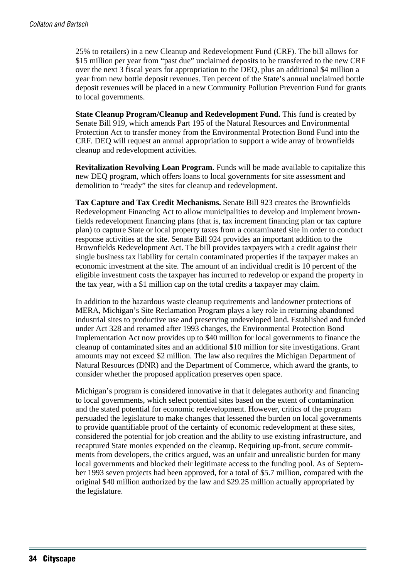25% to retailers) in a new Cleanup and Redevelopment Fund (CRF). The bill allows for \$15 million per year from "past due" unclaimed deposits to be transferred to the new CRF over the next 3 fiscal years for appropriation to the DEQ, plus an additional \$4 million a year from new bottle deposit revenues. Ten percent of the State's annual unclaimed bottle deposit revenues will be placed in a new Community Pollution Prevention Fund for grants to local governments.

**State Cleanup Program/Cleanup and Redevelopment Fund.** This fund is created by Senate Bill 919, which amends Part 195 of the Natural Resources and Environmental Protection Act to transfer money from the Environmental Protection Bond Fund into the CRF. DEQ will request an annual appropriation to support a wide array of brownfields cleanup and redevelopment activities.

**Revitalization Revolving Loan Program.** Funds will be made available to capitalize this new DEQ program, which offers loans to local governments for site assessment and demolition to "ready" the sites for cleanup and redevelopment.

**Tax Capture and Tax Credit Mechanisms.** Senate Bill 923 creates the Brownfields Redevelopment Financing Act to allow municipalities to develop and implement brownfields redevelopment financing plans (that is, tax increment financing plan or tax capture plan) to capture State or local property taxes from a contaminated site in order to conduct response activities at the site. Senate Bill 924 provides an important addition to the Brownfields Redevelopment Act. The bill provides taxpayers with a credit against their single business tax liability for certain contaminated properties if the taxpayer makes an economic investment at the site. The amount of an individual credit is 10 percent of the eligible investment costs the taxpayer has incurred to redevelop or expand the property in the tax year, with a \$1 million cap on the total credits a taxpayer may claim.

In addition to the hazardous waste cleanup requirements and landowner protections of MERA, Michigan's Site Reclamation Program plays a key role in returning abandoned industrial sites to productive use and preserving undeveloped land. Established and funded under Act 328 and renamed after 1993 changes, the Environmental Protection Bond Implementation Act now provides up to \$40 million for local governments to finance the cleanup of contaminated sites and an additional \$10 million for site investigations. Grant amounts may not exceed \$2 million. The law also requires the Michigan Department of Natural Resources (DNR) and the Department of Commerce, which award the grants, to consider whether the proposed application preserves open space.

Michigan's program is considered innovative in that it delegates authority and financing to local governments, which select potential sites based on the extent of contamination and the stated potential for economic redevelopment. However, critics of the program persuaded the legislature to make changes that lessened the burden on local governments to provide quantifiable proof of the certainty of economic redevelopment at these sites, considered the potential for job creation and the ability to use existing infrastructure, and recaptured State monies expended on the cleanup. Requiring up-front, secure commitments from developers, the critics argued, was an unfair and unrealistic burden for many local governments and blocked their legitimate access to the funding pool. As of September 1993 seven projects had been approved, for a total of \$5.7 million, compared with the original \$40 million authorized by the law and \$29.25 million actually appropriated by the legislature.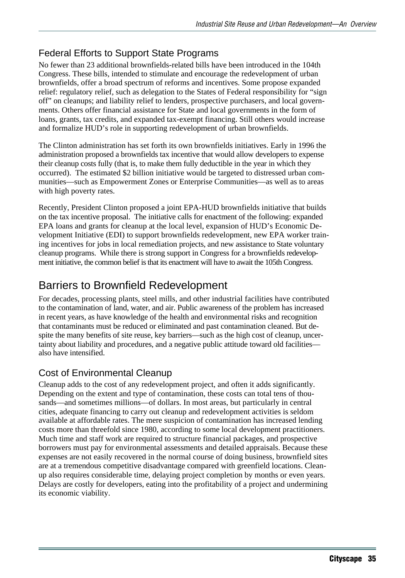## Federal Efforts to Support State Programs

No fewer than 23 additional brownfields-related bills have been introduced in the 104th Congress. These bills, intended to stimulate and encourage the redevelopment of urban brownfields, offer a broad spectrum of reforms and incentives. Some propose expanded relief: regulatory relief, such as delegation to the States of Federal responsibility for "sign off" on cleanups; and liability relief to lenders, prospective purchasers, and local governments. Others offer financial assistance for State and local governments in the form of loans, grants, tax credits, and expanded tax-exempt financing. Still others would increase and formalize HUD's role in supporting redevelopment of urban brownfields.

The Clinton administration has set forth its own brownfields initiatives. Early in 1996 the administration proposed a brownfields tax incentive that would allow developers to expense their cleanup costs fully (that is, to make them fully deductible in the year in which they occurred). The estimated \$2 billion initiative would be targeted to distressed urban communities—such as Empowerment Zones or Enterprise Communities—as well as to areas with high poverty rates.

Recently, President Clinton proposed a joint EPA-HUD brownfields initiative that builds on the tax incentive proposal. The initiative calls for enactment of the following: expanded EPA loans and grants for cleanup at the local level, expansion of HUD's Economic Development Initiative (EDI) to support brownfields redevelopment, new EPA worker training incentives for jobs in local remediation projects, and new assistance to State voluntary cleanup programs. While there is strong support in Congress for a brownfields redevelopment initiative, the common belief is that its enactment will have to await the 105th Congress.

# Barriers to Brownfield Redevelopment

For decades, processing plants, steel mills, and other industrial facilities have contributed to the contamination of land, water, and air. Public awareness of the problem has increased in recent years, as have knowledge of the health and environmental risks and recognition that contaminants must be reduced or eliminated and past contamination cleaned. But despite the many benefits of site reuse, key barriers—such as the high cost of cleanup, uncertainty about liability and procedures, and a negative public attitude toward old facilities also have intensified.

## Cost of Environmental Cleanup

Cleanup adds to the cost of any redevelopment project, and often it adds significantly. Depending on the extent and type of contamination, these costs can total tens of thousands—and sometimes millions—of dollars. In most areas, but particularly in central cities, adequate financing to carry out cleanup and redevelopment activities is seldom available at affordable rates. The mere suspicion of contamination has increased lending costs more than threefold since 1980, according to some local development practitioners. Much time and staff work are required to structure financial packages, and prospective borrowers must pay for environmental assessments and detailed appraisals. Because these expenses are not easily recovered in the normal course of doing business, brownfield sites are at a tremendous competitive disadvantage compared with greenfield locations. Cleanup also requires considerable time, delaying project completion by months or even years. Delays are costly for developers, eating into the profitability of a project and undermining its economic viability.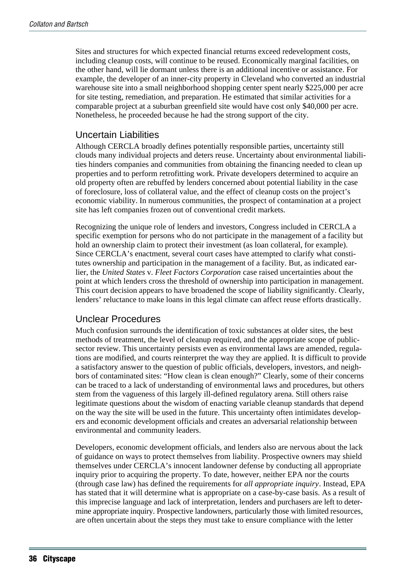Sites and structures for which expected financial returns exceed redevelopment costs, including cleanup costs, will continue to be reused. Economically marginal facilities, on the other hand, will lie dormant unless there is an additional incentive or assistance. For example, the developer of an inner-city property in Cleveland who converted an industrial warehouse site into a small neighborhood shopping center spent nearly \$225,000 per acre for site testing, remediation, and preparation. He estimated that similar activities for a comparable project at a suburban greenfield site would have cost only \$40,000 per acre. Nonetheless, he proceeded because he had the strong support of the city.

#### Uncertain Liabilities

Although CERCLA broadly defines potentially responsible parties, uncertainty still clouds many individual projects and deters reuse. Uncertainty about environmental liabilities hinders companies and communities from obtaining the financing needed to clean up properties and to perform retrofitting work. Private developers determined to acquire an old property often are rebuffed by lenders concerned about potential liability in the case of foreclosure, loss of collateral value, and the effect of cleanup costs on the project's economic viability. In numerous communities, the prospect of contamination at a project site has left companies frozen out of conventional credit markets.

Recognizing the unique role of lenders and investors, Congress included in CERCLA a specific exemption for persons who do not participate in the management of a facility but hold an ownership claim to protect their investment (as loan collateral, for example). Since CERCLA's enactment, several court cases have attempted to clarify what constitutes ownership and participation in the management of a facility. But, as indicated earlier, the *United States* v. *Fleet Factors Corporation* case raised uncertainties about the point at which lenders cross the threshold of ownership into participation in management. This court decision appears to have broadened the scope of liability significantly. Clearly, lenders' reluctance to make loans in this legal climate can affect reuse efforts drastically.

#### Unclear Procedures

Much confusion surrounds the identification of toxic substances at older sites, the best methods of treatment, the level of cleanup required, and the appropriate scope of publicsector review. This uncertainty persists even as environmental laws are amended, regulations are modified, and courts reinterpret the way they are applied. It is difficult to provide a satisfactory answer to the question of public officials, developers, investors, and neighbors of contaminated sites: "How clean is clean enough?" Clearly, some of their concerns can be traced to a lack of understanding of environmental laws and procedures, but others stem from the vagueness of this largely ill-defined regulatory arena. Still others raise legitimate questions about the wisdom of enacting variable cleanup standards that depend on the way the site will be used in the future. This uncertainty often intimidates developers and economic development officials and creates an adversarial relationship between environmental and community leaders.

Developers, economic development officials, and lenders also are nervous about the lack of guidance on ways to protect themselves from liability. Prospective owners may shield themselves under CERCLA's innocent landowner defense by conducting all appropriate inquiry prior to acquiring the property. To date, however, neither EPA nor the courts (through case law) has defined the requirements for *all appropriate inquiry*. Instead, EPA has stated that it will determine what is appropriate on a case-by-case basis. As a result of this imprecise language and lack of interpretation, lenders and purchasers are left to determine appropriate inquiry. Prospective landowners, particularly those with limited resources, are often uncertain about the steps they must take to ensure compliance with the letter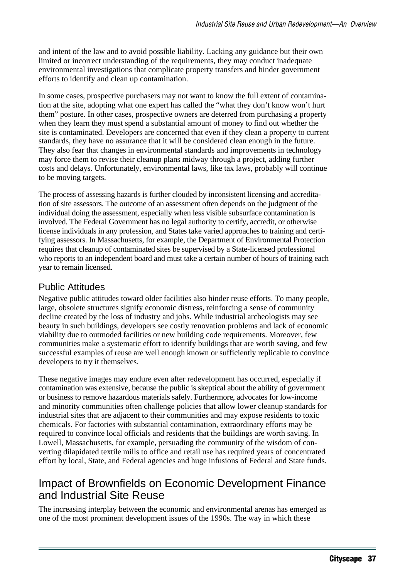and intent of the law and to avoid possible liability. Lacking any guidance but their own limited or incorrect understanding of the requirements, they may conduct inadequate environmental investigations that complicate property transfers and hinder government efforts to identify and clean up contamination.

In some cases, prospective purchasers may not want to know the full extent of contamination at the site, adopting what one expert has called the "what they don't know won't hurt them" posture. In other cases, prospective owners are deterred from purchasing a property when they learn they must spend a substantial amount of money to find out whether the site is contaminated. Developers are concerned that even if they clean a property to current standards, they have no assurance that it will be considered clean enough in the future. They also fear that changes in environmental standards and improvements in technology may force them to revise their cleanup plans midway through a project, adding further costs and delays. Unfortunately, environmental laws, like tax laws, probably will continue to be moving targets.

The process of assessing hazards is further clouded by inconsistent licensing and accreditation of site assessors. The outcome of an assessment often depends on the judgment of the individual doing the assessment, especially when less visible subsurface contamination is involved. The Federal Government has no legal authority to certify, accredit, or otherwise license individuals in any profession, and States take varied approaches to training and certifying assessors. In Massachusetts, for example, the Department of Environmental Protection requires that cleanup of contaminated sites be supervised by a State-licensed professional who reports to an independent board and must take a certain number of hours of training each year to remain licensed.

#### Public Attitudes

Negative public attitudes toward older facilities also hinder reuse efforts. To many people, large, obsolete structures signify economic distress, reinforcing a sense of community decline created by the loss of industry and jobs. While industrial archeologists may see beauty in such buildings, developers see costly renovation problems and lack of economic viability due to outmoded facilities or new building code requirements. Moreover, few communities make a systematic effort to identify buildings that are worth saving, and few successful examples of reuse are well enough known or sufficiently replicable to convince developers to try it themselves.

These negative images may endure even after redevelopment has occurred, especially if contamination was extensive, because the public is skeptical about the ability of government or business to remove hazardous materials safely. Furthermore, advocates for low-income and minority communities often challenge policies that allow lower cleanup standards for industrial sites that are adjacent to their communities and may expose residents to toxic chemicals. For factories with substantial contamination, extraordinary efforts may be required to convince local officials and residents that the buildings are worth saving. In Lowell, Massachusetts, for example, persuading the community of the wisdom of converting dilapidated textile mills to office and retail use has required years of concentrated effort by local, State, and Federal agencies and huge infusions of Federal and State funds.

# Impact of Brownfields on Economic Development Finance and Industrial Site Reuse

The increasing interplay between the economic and environmental arenas has emerged as one of the most prominent development issues of the 1990s. The way in which these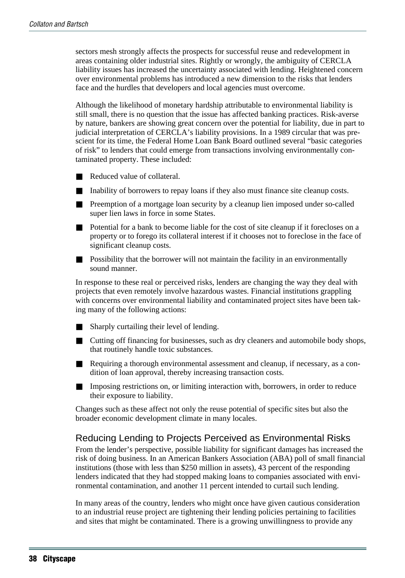sectors mesh strongly affects the prospects for successful reuse and redevelopment in areas containing older industrial sites. Rightly or wrongly, the ambiguity of CERCLA liability issues has increased the uncertainty associated with lending. Heightened concern over environmental problems has introduced a new dimension to the risks that lenders face and the hurdles that developers and local agencies must overcome.

Although the likelihood of monetary hardship attributable to environmental liability is still small, there is no question that the issue has affected banking practices. Risk-averse by nature, bankers are showing great concern over the potential for liability, due in part to judicial interpretation of CERCLA's liability provisions. In a 1989 circular that was prescient for its time, the Federal Home Loan Bank Board outlined several "basic categories of risk" to lenders that could emerge from transactions involving environmentally contaminated property. These included:

- Reduced value of collateral.
- Inability of borrowers to repay loans if they also must finance site cleanup costs.
- Preemption of a mortgage loan security by a cleanup lien imposed under so-called super lien laws in force in some States.
- Potential for a bank to become liable for the cost of site cleanup if it forecloses on a property or to forego its collateral interest if it chooses not to foreclose in the face of significant cleanup costs.
- Possibility that the borrower will not maintain the facility in an environmentally sound manner.

In response to these real or perceived risks, lenders are changing the way they deal with projects that even remotely involve hazardous wastes. Financial institutions grappling with concerns over environmental liability and contaminated project sites have been taking many of the following actions:

- Sharply curtailing their level of lending.
- Cutting off financing for businesses, such as dry cleaners and automobile body shops, that routinely handle toxic substances.
- Requiring a thorough environmental assessment and cleanup, if necessary, as a condition of loan approval, thereby increasing transaction costs.
- Imposing restrictions on, or limiting interaction with, borrowers, in order to reduce their exposure to liability.

Changes such as these affect not only the reuse potential of specific sites but also the broader economic development climate in many locales.

#### Reducing Lending to Projects Perceived as Environmental Risks

From the lender's perspective, possible liability for significant damages has increased the risk of doing business. In an American Bankers Association (ABA) poll of small financial institutions (those with less than \$250 million in assets), 43 percent of the responding lenders indicated that they had stopped making loans to companies associated with environmental contamination, and another 11 percent intended to curtail such lending.

In many areas of the country, lenders who might once have given cautious consideration to an industrial reuse project are tightening their lending policies pertaining to facilities and sites that might be contaminated. There is a growing unwillingness to provide any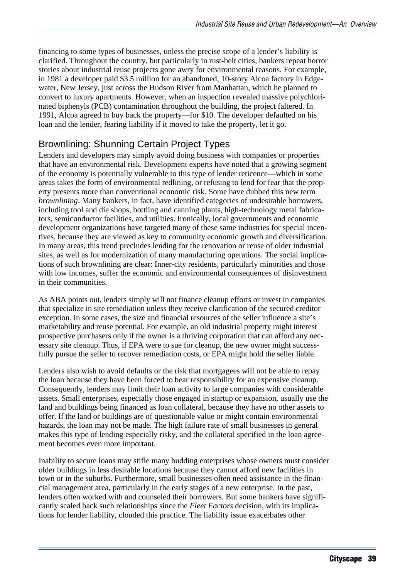financing to some types of businesses, unless the precise scope of a lender's liability is clarified. Throughout the country, but particularly in rust-belt cities, bankers repeat horror stories about industrial reuse projects gone awry for environmental reasons. For example, in 1981 a developer paid \$3.5 million for an abandoned, 10-story Alcoa factory in Edgewater, New Jersey, just across the Hudson River from Manhattan, which he planned to convert to luxury apartments. However, when an inspection revealed massive polychlorinated biphenyls (PCB) contamination throughout the building, the project faltered. In 1991, Alcoa agreed to buy back the property—for \$10. The developer defaulted on his loan and the lender, fearing liability if it moved to take the property, let it go.

#### Brownlining: Shunning Certain Project Types

Lenders and developers may simply avoid doing business with companies or properties that have an environmental risk. Development experts have noted that a growing segment of the economy is potentially vulnerable to this type of lender reticence—which in some areas takes the form of environmental redlining, or refusing to lend for fear that the property presents more than conventional economic risk. Some have dubbed this new term *brownlining*. Many bankers, in fact, have identified categories of undesirable borrowers, including tool and die shops, bottling and canning plants, high-technology metal fabricators, semiconductor facilities, and utilities. Ironically, local governments and economic development organizations have targeted many of these same industries for special incentives, because they are viewed as key to community economic growth and diversification. In many areas, this trend precludes lending for the renovation or reuse of older industrial sites, as well as for modernization of many manufacturing operations. The social implications of such brownlining are clear: Inner-city residents, particularly minorities and those with low incomes, suffer the economic and environmental consequences of disinvestment in their communities.

As ABA points out, lenders simply will not finance cleanup efforts or invest in companies that specialize in site remediation unless they receive clarification of the secured creditor exception. In some cases, the size and financial resources of the seller influence a site's marketability and reuse potential. For example, an old industrial property might interest prospective purchasers only if the owner is a thriving corporation that can afford any necessary site cleanup. Thus, if EPA were to sue for cleanup, the new owner might successfully pursue the seller to recover remediation costs, or EPA might hold the seller liable.

Lenders also wish to avoid defaults or the risk that mortgagees will not be able to repay the loan because they have been forced to bear responsibility for an expensive cleanup. Consequently, lenders may limit their loan activity to large companies with considerable assets. Small enterprises, especially those engaged in startup or expansion, usually use the land and buildings being financed as loan collateral, because they have no other assets to offer. If the land or buildings are of questionable value or might contain environmental hazards, the loan may not be made. The high failure rate of small businesses in general makes this type of lending especially risky, and the collateral specified in the loan agreement becomes even more important.

Inability to secure loans may stifle many budding enterprises whose owners must consider older buildings in less desirable locations because they cannot afford new facilities in town or in the suburbs. Furthermore, small businesses often need assistance in the financial management area, particularly in the early stages of a new enterprise. In the past, lenders often worked with and counseled their borrowers. But some bankers have significantly scaled back such relationships since the *Fleet Factors* decision, with its implications for lender liability, clouded this practice. The liability issue exacerbates other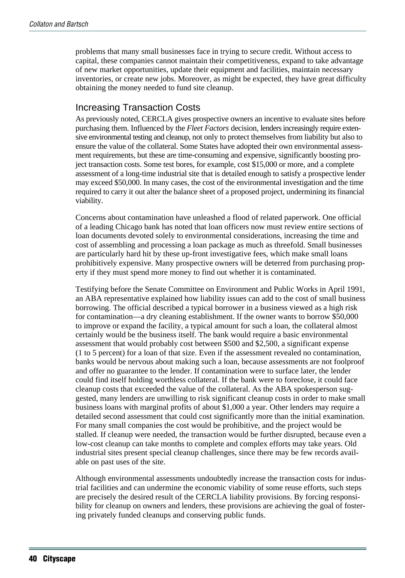problems that many small businesses face in trying to secure credit. Without access to capital, these companies cannot maintain their competitiveness, expand to take advantage of new market opportunities, update their equipment and facilities, maintain necessary inventories, or create new jobs. Moreover, as might be expected, they have great difficulty obtaining the money needed to fund site cleanup.

#### Increasing Transaction Costs

As previously noted, CERCLA gives prospective owners an incentive to evaluate sites before purchasing them. Influenced by the *Fleet Factors* decision, lenders increasingly require extensive environmental testing and cleanup, not only to protect themselves from liability but also to ensure the value of the collateral. Some States have adopted their own environmental assessment requirements, but these are time-consuming and expensive, significantly boosting project transaction costs. Some test bores, for example, cost \$15,000 or more, and a complete assessment of a long-time industrial site that is detailed enough to satisfy a prospective lender may exceed \$50,000. In many cases, the cost of the environmental investigation and the time required to carry it out alter the balance sheet of a proposed project, undermining its financial viability.

Concerns about contamination have unleashed a flood of related paperwork. One official of a leading Chicago bank has noted that loan officers now must review entire sections of loan documents devoted solely to environmental considerations, increasing the time and cost of assembling and processing a loan package as much as threefold. Small businesses are particularly hard hit by these up-front investigative fees, which make small loans prohibitively expensive. Many prospective owners will be deterred from purchasing property if they must spend more money to find out whether it is contaminated.

Testifying before the Senate Committee on Environment and Public Works in April 1991, an ABA representative explained how liability issues can add to the cost of small business borrowing. The official described a typical borrower in a business viewed as a high risk for contamination—a dry cleaning establishment. If the owner wants to borrow \$50,000 to improve or expand the facility, a typical amount for such a loan, the collateral almost certainly would be the business itself. The bank would require a basic environmental assessment that would probably cost between \$500 and \$2,500, a significant expense (1 to 5 percent) for a loan of that size. Even if the assessment revealed no contamination, banks would be nervous about making such a loan, because assessments are not foolproof and offer no guarantee to the lender. If contamination were to surface later, the lender could find itself holding worthless collateral. If the bank were to foreclose, it could face cleanup costs that exceeded the value of the collateral. As the ABA spokesperson suggested, many lenders are unwilling to risk significant cleanup costs in order to make small business loans with marginal profits of about \$1,000 a year. Other lenders may require a detailed second assessment that could cost significantly more than the initial examination. For many small companies the cost would be prohibitive, and the project would be stalled. If cleanup were needed, the transaction would be further disrupted, because even a low-cost cleanup can take months to complete and complex efforts may take years. Old industrial sites present special cleanup challenges, since there may be few records available on past uses of the site.

Although environmental assessments undoubtedly increase the transaction costs for industrial facilities and can undermine the economic viability of some reuse efforts, such steps are precisely the desired result of the CERCLA liability provisions. By forcing responsibility for cleanup on owners and lenders, these provisions are achieving the goal of fostering privately funded cleanups and conserving public funds.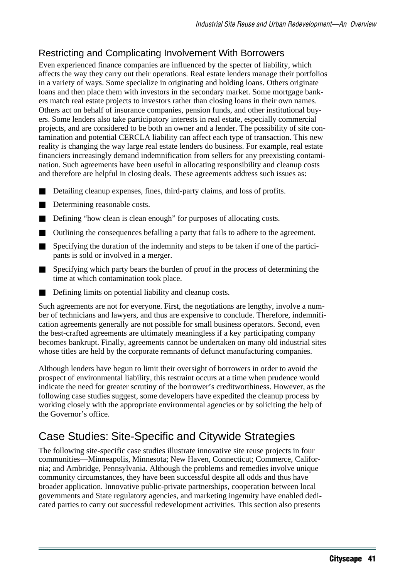### Restricting and Complicating Involvement With Borrowers

Even experienced finance companies are influenced by the specter of liability, which affects the way they carry out their operations. Real estate lenders manage their portfolios in a variety of ways. Some specialize in originating and holding loans. Others originate loans and then place them with investors in the secondary market. Some mortgage bankers match real estate projects to investors rather than closing loans in their own names. Others act on behalf of insurance companies, pension funds, and other institutional buyers. Some lenders also take participatory interests in real estate, especially commercial projects, and are considered to be both an owner and a lender. The possibility of site contamination and potential CERCLA liability can affect each type of transaction. This new reality is changing the way large real estate lenders do business. For example, real estate financiers increasingly demand indemnification from sellers for any preexisting contamination. Such agreements have been useful in allocating responsibility and cleanup costs and therefore are helpful in closing deals. These agreements address such issues as:

- Detailing cleanup expenses, fines, third-party claims, and loss of profits.
- Determining reasonable costs.
- Defining "how clean is clean enough" for purposes of allocating costs.
- Outlining the consequences befalling a party that fails to adhere to the agreement.
- Specifying the duration of the indemnity and steps to be taken if one of the participants is sold or involved in a merger.
- Specifying which party bears the burden of proof in the process of determining the time at which contamination took place.
- Defining limits on potential liability and cleanup costs.

Such agreements are not for everyone. First, the negotiations are lengthy, involve a number of technicians and lawyers, and thus are expensive to conclude. Therefore, indemnification agreements generally are not possible for small business operators. Second, even the best-crafted agreements are ultimately meaningless if a key participating company becomes bankrupt. Finally, agreements cannot be undertaken on many old industrial sites whose titles are held by the corporate remnants of defunct manufacturing companies.

Although lenders have begun to limit their oversight of borrowers in order to avoid the prospect of environmental liability, this restraint occurs at a time when prudence would indicate the need for greater scrutiny of the borrower's creditworthiness. However, as the following case studies suggest, some developers have expedited the cleanup process by working closely with the appropriate environmental agencies or by soliciting the help of the Governor's office.

# Case Studies: Site-Specific and Citywide Strategies

The following site-specific case studies illustrate innovative site reuse projects in four communities—Minneapolis, Minnesota; New Haven, Connecticut; Commerce, California; and Ambridge, Pennsylvania. Although the problems and remedies involve unique community circumstances, they have been successful despite all odds and thus have broader application. Innovative public-private partnerships, cooperation between local governments and State regulatory agencies, and marketing ingenuity have enabled dedicated parties to carry out successful redevelopment activities. This section also presents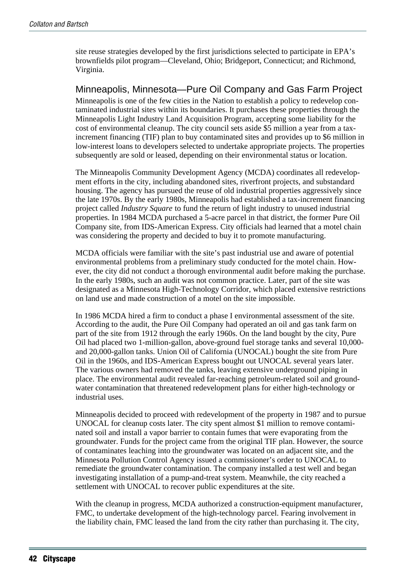site reuse strategies developed by the first jurisdictions selected to participate in EPA's brownfields pilot program—Cleveland, Ohio; Bridgeport, Connecticut; and Richmond, Virginia.

#### Minneapolis, Minnesota—Pure Oil Company and Gas Farm Project

Minneapolis is one of the few cities in the Nation to establish a policy to redevelop contaminated industrial sites within its boundaries. It purchases these properties through the Minneapolis Light Industry Land Acquisition Program, accepting some liability for the cost of environmental cleanup. The city council sets aside \$5 million a year from a taxincrement financing (TIF) plan to buy contaminated sites and provides up to \$6 million in low-interest loans to developers selected to undertake appropriate projects. The properties subsequently are sold or leased, depending on their environmental status or location.

The Minneapolis Community Development Agency (MCDA) coordinates all redevelopment efforts in the city, including abandoned sites, riverfront projects, and substandard housing. The agency has pursued the reuse of old industrial properties aggressively since the late 1970s. By the early 1980s, Minneapolis had established a tax-increment financing project called *Industry Square* to fund the return of light industry to unused industrial properties. In 1984 MCDA purchased a 5-acre parcel in that district, the former Pure Oil Company site, from IDS-American Express. City officials had learned that a motel chain was considering the property and decided to buy it to promote manufacturing.

MCDA officials were familiar with the site's past industrial use and aware of potential environmental problems from a preliminary study conducted for the motel chain. However, the city did not conduct a thorough environmental audit before making the purchase. In the early 1980s, such an audit was not common practice. Later, part of the site was designated as a Minnesota High-Technology Corridor, which placed extensive restrictions on land use and made construction of a motel on the site impossible.

In 1986 MCDA hired a firm to conduct a phase I environmental assessment of the site. According to the audit, the Pure Oil Company had operated an oil and gas tank farm on part of the site from 1912 through the early 1960s. On the land bought by the city, Pure Oil had placed two 1-million-gallon, above-ground fuel storage tanks and several 10,000 and 20,000-gallon tanks. Union Oil of California (UNOCAL) bought the site from Pure Oil in the 1960s, and IDS-American Express bought out UNOCAL several years later. The various owners had removed the tanks, leaving extensive underground piping in place. The environmental audit revealed far-reaching petroleum-related soil and groundwater contamination that threatened redevelopment plans for either high-technology or industrial uses.

Minneapolis decided to proceed with redevelopment of the property in 1987 and to pursue UNOCAL for cleanup costs later. The city spent almost \$1 million to remove contaminated soil and install a vapor barrier to contain fumes that were evaporating from the groundwater. Funds for the project came from the original TIF plan. However, the source of contaminates leaching into the groundwater was located on an adjacent site, and the Minnesota Pollution Control Agency issued a commissioner's order to UNOCAL to remediate the groundwater contamination. The company installed a test well and began investigating installation of a pump-and-treat system. Meanwhile, the city reached a settlement with UNOCAL to recover public expenditures at the site.

With the cleanup in progress, MCDA authorized a construction-equipment manufacturer, FMC, to undertake development of the high-technology parcel. Fearing involvement in the liability chain, FMC leased the land from the city rather than purchasing it. The city,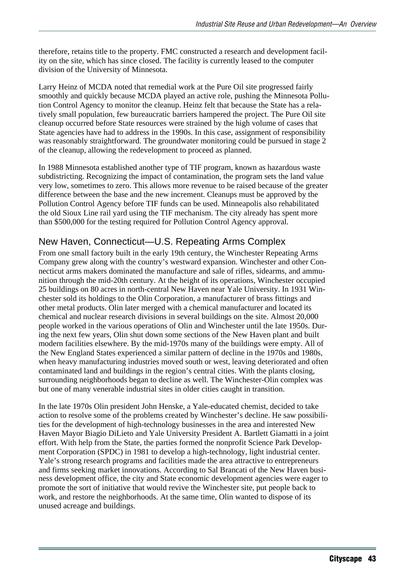therefore, retains title to the property. FMC constructed a research and development facility on the site, which has since closed. The facility is currently leased to the computer division of the University of Minnesota.

Larry Heinz of MCDA noted that remedial work at the Pure Oil site progressed fairly smoothly and quickly because MCDA played an active role, pushing the Minnesota Pollution Control Agency to monitor the cleanup. Heinz felt that because the State has a relatively small population, few bureaucratic barriers hampered the project. The Pure Oil site cleanup occurred before State resources were strained by the high volume of cases that State agencies have had to address in the 1990s. In this case, assignment of responsibility was reasonably straightforward. The groundwater monitoring could be pursued in stage 2 of the cleanup, allowing the redevelopment to proceed as planned.

In 1988 Minnesota established another type of TIF program, known as hazardous waste subdistricting. Recognizing the impact of contamination, the program sets the land value very low, sometimes to zero. This allows more revenue to be raised because of the greater difference between the base and the new increment. Cleanups must be approved by the Pollution Control Agency before TIF funds can be used. Minneapolis also rehabilitated the old Sioux Line rail yard using the TIF mechanism. The city already has spent more than \$500,000 for the testing required for Pollution Control Agency approval.

#### New Haven, Connecticut—U.S. Repeating Arms Complex

From one small factory built in the early 19th century, the Winchester Repeating Arms Company grew along with the country's westward expansion. Winchester and other Connecticut arms makers dominated the manufacture and sale of rifles, sidearms, and ammunition through the mid-20th century. At the height of its operations, Winchester occupied 25 buildings on 80 acres in north-central New Haven near Yale University. In 1931 Winchester sold its holdings to the Olin Corporation, a manufacturer of brass fittings and other metal products. Olin later merged with a chemical manufacturer and located its chemical and nuclear research divisions in several buildings on the site. Almost 20,000 people worked in the various operations of Olin and Winchester until the late 1950s. During the next few years, Olin shut down some sections of the New Haven plant and built modern facilities elsewhere. By the mid-1970s many of the buildings were empty. All of the New England States experienced a similar pattern of decline in the 1970s and 1980s, when heavy manufacturing industries moved south or west, leaving deteriorated and often contaminated land and buildings in the region's central cities. With the plants closing, surrounding neighborhoods began to decline as well. The Winchester-Olin complex was but one of many venerable industrial sites in older cities caught in transition.

In the late 1970s Olin president John Henske, a Yale-educated chemist, decided to take action to resolve some of the problems created by Winchester's decline. He saw possibilities for the development of high-technology businesses in the area and interested New Haven Mayor Biagio DiLieto and Yale University President A. Bartlett Giamatti in a joint effort. With help from the State, the parties formed the nonprofit Science Park Development Corporation (SPDC) in 1981 to develop a high-technology, light industrial center. Yale's strong research programs and facilities made the area attractive to entrepreneurs and firms seeking market innovations. According to Sal Brancati of the New Haven business development office, the city and State economic development agencies were eager to promote the sort of initiative that would revive the Winchester site, put people back to work, and restore the neighborhoods. At the same time, Olin wanted to dispose of its unused acreage and buildings.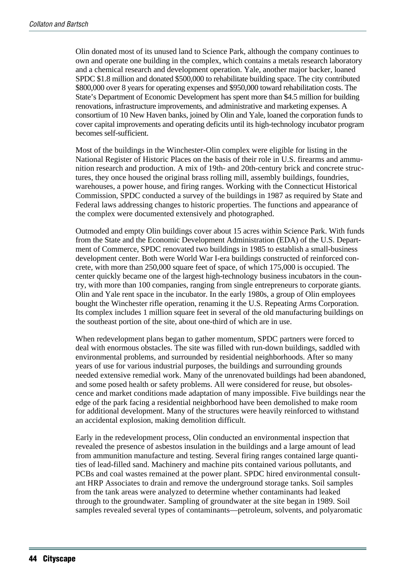Olin donated most of its unused land to Science Park, although the company continues to own and operate one building in the complex, which contains a metals research laboratory and a chemical research and development operation. Yale, another major backer, loaned SPDC \$1.8 million and donated \$500,000 to rehabilitate building space. The city contributed \$800,000 over 8 years for operating expenses and \$950,000 toward rehabilitation costs. The State's Department of Economic Development has spent more than \$4.5 million for building renovations, infrastructure improvements, and administrative and marketing expenses. A consortium of 10 New Haven banks, joined by Olin and Yale, loaned the corporation funds to cover capital improvements and operating deficits until its high-technology incubator program becomes self-sufficient.

Most of the buildings in the Winchester-Olin complex were eligible for listing in the National Register of Historic Places on the basis of their role in U.S. firearms and ammunition research and production. A mix of 19th- and 20th-century brick and concrete structures, they once housed the original brass rolling mill, assembly buildings, foundries, warehouses, a power house, and firing ranges. Working with the Connecticut Historical Commission, SPDC conducted a survey of the buildings in 1987 as required by State and Federal laws addressing changes to historic properties. The functions and appearance of the complex were documented extensively and photographed.

Outmoded and empty Olin buildings cover about 15 acres within Science Park. With funds from the State and the Economic Development Administration (EDA) of the U.S. Department of Commerce, SPDC renovated two buildings in 1985 to establish a small-business development center. Both were World War I-era buildings constructed of reinforced concrete, with more than 250,000 square feet of space, of which 175,000 is occupied. The center quickly became one of the largest high-technology business incubators in the country, with more than 100 companies, ranging from single entrepreneurs to corporate giants. Olin and Yale rent space in the incubator. In the early 1980s, a group of Olin employees bought the Winchester rifle operation, renaming it the U.S. Repeating Arms Corporation. Its complex includes 1 million square feet in several of the old manufacturing buildings on the southeast portion of the site, about one-third of which are in use.

When redevelopment plans began to gather momentum, SPDC partners were forced to deal with enormous obstacles. The site was filled with run-down buildings, saddled with environmental problems, and surrounded by residential neighborhoods. After so many years of use for various industrial purposes, the buildings and surrounding grounds needed extensive remedial work. Many of the unrenovated buildings had been abandoned, and some posed health or safety problems. All were considered for reuse, but obsolescence and market conditions made adaptation of many impossible. Five buildings near the edge of the park facing a residential neighborhood have been demolished to make room for additional development. Many of the structures were heavily reinforced to withstand an accidental explosion, making demolition difficult.

Early in the redevelopment process, Olin conducted an environmental inspection that revealed the presence of asbestos insulation in the buildings and a large amount of lead from ammunition manufacture and testing. Several firing ranges contained large quantities of lead-filled sand. Machinery and machine pits contained various pollutants, and PCBs and coal wastes remained at the power plant. SPDC hired environmental consultant HRP Associates to drain and remove the underground storage tanks. Soil samples from the tank areas were analyzed to determine whether contaminants had leaked through to the groundwater. Sampling of groundwater at the site began in 1989. Soil samples revealed several types of contaminants—petroleum, solvents, and polyaromatic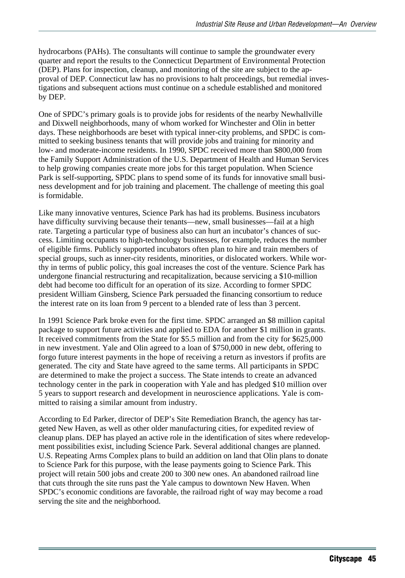hydrocarbons (PAHs). The consultants will continue to sample the groundwater every quarter and report the results to the Connecticut Department of Environmental Protection (DEP). Plans for inspection, cleanup, and monitoring of the site are subject to the approval of DEP. Connecticut law has no provisions to halt proceedings, but remedial investigations and subsequent actions must continue on a schedule established and monitored by DEP.

One of SPDC's primary goals is to provide jobs for residents of the nearby Newhallville and Dixwell neighborhoods, many of whom worked for Winchester and Olin in better days. These neighborhoods are beset with typical inner-city problems, and SPDC is committed to seeking business tenants that will provide jobs and training for minority and low- and moderate-income residents. In 1990, SPDC received more than \$800,000 from the Family Support Administration of the U.S. Department of Health and Human Services to help growing companies create more jobs for this target population. When Science Park is self-supporting, SPDC plans to spend some of its funds for innovative small business development and for job training and placement. The challenge of meeting this goal is formidable.

Like many innovative ventures, Science Park has had its problems. Business incubators have difficulty surviving because their tenants—new, small businesses—fail at a high rate. Targeting a particular type of business also can hurt an incubator's chances of success. Limiting occupants to high-technology businesses, for example, reduces the number of eligible firms. Publicly supported incubators often plan to hire and train members of special groups, such as inner-city residents, minorities, or dislocated workers. While worthy in terms of public policy, this goal increases the cost of the venture. Science Park has undergone financial restructuring and recapitalization, because servicing a \$10-million debt had become too difficult for an operation of its size. According to former SPDC president William Ginsberg, Science Park persuaded the financing consortium to reduce the interest rate on its loan from 9 percent to a blended rate of less than 3 percent.

In 1991 Science Park broke even for the first time. SPDC arranged an \$8 million capital package to support future activities and applied to EDA for another \$1 million in grants. It received commitments from the State for \$5.5 million and from the city for \$625,000 in new investment. Yale and Olin agreed to a loan of \$750,000 in new debt, offering to forgo future interest payments in the hope of receiving a return as investors if profits are generated. The city and State have agreed to the same terms. All participants in SPDC are determined to make the project a success. The State intends to create an advanced technology center in the park in cooperation with Yale and has pledged \$10 million over 5 years to support research and development in neuroscience applications. Yale is committed to raising a similar amount from industry.

According to Ed Parker, director of DEP's Site Remediation Branch, the agency has targeted New Haven, as well as other older manufacturing cities, for expedited review of cleanup plans. DEP has played an active role in the identification of sites where redevelopment possibilities exist, including Science Park. Several additional changes are planned. U.S. Repeating Arms Complex plans to build an addition on land that Olin plans to donate to Science Park for this purpose, with the lease payments going to Science Park. This project will retain 500 jobs and create 200 to 300 new ones. An abandoned railroad line that cuts through the site runs past the Yale campus to downtown New Haven. When SPDC's economic conditions are favorable, the railroad right of way may become a road serving the site and the neighborhood.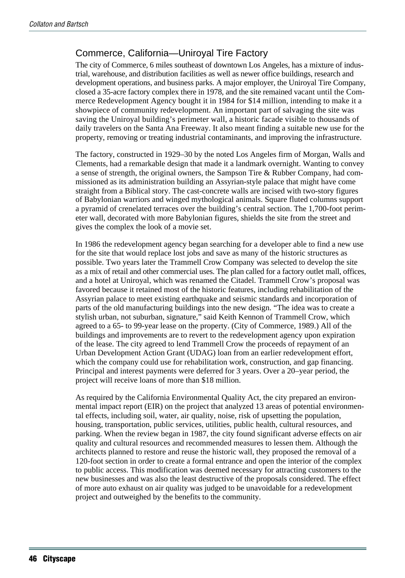#### Commerce, California—Uniroyal Tire Factory

The city of Commerce, 6 miles southeast of downtown Los Angeles, has a mixture of industrial, warehouse, and distribution facilities as well as newer office buildings, research and development operations, and business parks. A major employer, the Uniroyal Tire Company, closed a 35-acre factory complex there in 1978, and the site remained vacant until the Commerce Redevelopment Agency bought it in 1984 for \$14 million, intending to make it a showpiece of community redevelopment. An important part of salvaging the site was saving the Uniroyal building's perimeter wall, a historic facade visible to thousands of daily travelers on the Santa Ana Freeway. It also meant finding a suitable new use for the property, removing or treating industrial contaminants, and improving the infrastructure.

The factory, constructed in 1929–30 by the noted Los Angeles firm of Morgan, Walls and Clements, had a remarkable design that made it a landmark overnight. Wanting to convey a sense of strength, the original owners, the Sampson Tire & Rubber Company, had commissioned as its administration building an Assyrian-style palace that might have come straight from a Biblical story. The cast-concrete walls are incised with two-story figures of Babylonian warriors and winged mythological animals. Square fluted columns support a pyramid of crenelated terraces over the building's central section. The 1,700-foot perimeter wall, decorated with more Babylonian figures, shields the site from the street and gives the complex the look of a movie set.

In 1986 the redevelopment agency began searching for a developer able to find a new use for the site that would replace lost jobs and save as many of the historic structures as possible. Two years later the Trammell Crow Company was selected to develop the site as a mix of retail and other commercial uses. The plan called for a factory outlet mall, offices, and a hotel at Uniroyal, which was renamed the Citadel. Trammell Crow's proposal was favored because it retained most of the historic features, including rehabilitation of the Assyrian palace to meet existing earthquake and seismic standards and incorporation of parts of the old manufacturing buildings into the new design. "The idea was to create a stylish urban, not suburban, signature," said Keith Kennon of Trammell Crow, which agreed to a 65- to 99-year lease on the property. (City of Commerce, 1989.) All of the buildings and improvements are to revert to the redevelopment agency upon expiration of the lease. The city agreed to lend Trammell Crow the proceeds of repayment of an Urban Development Action Grant (UDAG) loan from an earlier redevelopment effort, which the company could use for rehabilitation work, construction, and gap financing. Principal and interest payments were deferred for 3 years. Over a 20–year period, the project will receive loans of more than \$18 million.

As required by the California Environmental Quality Act, the city prepared an environmental impact report (EIR) on the project that analyzed 13 areas of potential environmental effects, including soil, water, air quality, noise, risk of upsetting the population, housing, transportation, public services, utilities, public health, cultural resources, and parking. When the review began in 1987, the city found significant adverse effects on air quality and cultural resources and recommended measures to lessen them. Although the architects planned to restore and reuse the historic wall, they proposed the removal of a 120-foot section in order to create a formal entrance and open the interior of the complex to public access. This modification was deemed necessary for attracting customers to the new businesses and was also the least destructive of the proposals considered. The effect of more auto exhaust on air quality was judged to be unavoidable for a redevelopment project and outweighed by the benefits to the community.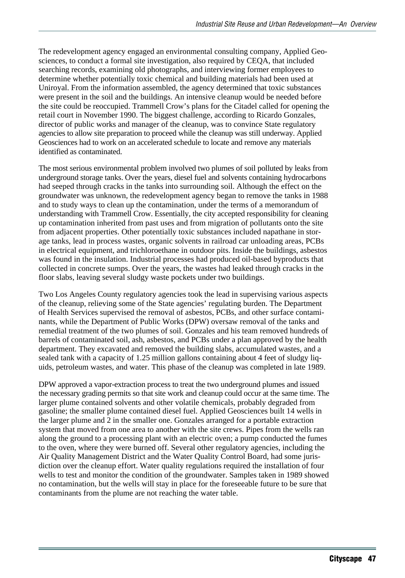The redevelopment agency engaged an environmental consulting company, Applied Geosciences, to conduct a formal site investigation, also required by CEQA, that included searching records, examining old photographs, and interviewing former employees to determine whether potentially toxic chemical and building materials had been used at Uniroyal. From the information assembled, the agency determined that toxic substances were present in the soil and the buildings. An intensive cleanup would be needed before the site could be reoccupied. Trammell Crow's plans for the Citadel called for opening the retail court in November 1990. The biggest challenge, according to Ricardo Gonzales, director of public works and manager of the cleanup, was to convince State regulatory agencies to allow site preparation to proceed while the cleanup was still underway. Applied Geosciences had to work on an accelerated schedule to locate and remove any materials identified as contaminated.

The most serious environmental problem involved two plumes of soil polluted by leaks from underground storage tanks. Over the years, diesel fuel and solvents containing hydrocarbons had seeped through cracks in the tanks into surrounding soil. Although the effect on the groundwater was unknown, the redevelopment agency began to remove the tanks in 1988 and to study ways to clean up the contamination, under the terms of a memorandum of understanding with Trammell Crow. Essentially, the city accepted responsibility for cleaning up contamination inherited from past uses and from migration of pollutants onto the site from adjacent properties. Other potentially toxic substances included napathane in storage tanks, lead in process wastes, organic solvents in railroad car unloading areas, PCBs in electrical equipment, and trichloroethane in outdoor pits. Inside the buildings, asbestos was found in the insulation. Industrial processes had produced oil-based byproducts that collected in concrete sumps. Over the years, the wastes had leaked through cracks in the floor slabs, leaving several sludgy waste pockets under two buildings.

Two Los Angeles County regulatory agencies took the lead in supervising various aspects of the cleanup, relieving some of the State agencies' regulating burden. The Department of Health Services supervised the removal of asbestos, PCBs, and other surface contaminants, while the Department of Public Works (DPW) oversaw removal of the tanks and remedial treatment of the two plumes of soil. Gonzales and his team removed hundreds of barrels of contaminated soil, ash, asbestos, and PCBs under a plan approved by the health department. They excavated and removed the building slabs, accumulated wastes, and a sealed tank with a capacity of 1.25 million gallons containing about 4 feet of sludgy liquids, petroleum wastes, and water. This phase of the cleanup was completed in late 1989.

DPW approved a vapor-extraction process to treat the two underground plumes and issued the necessary grading permits so that site work and cleanup could occur at the same time. The larger plume contained solvents and other volatile chemicals, probably degraded from gasoline; the smaller plume contained diesel fuel. Applied Geosciences built 14 wells in the larger plume and 2 in the smaller one. Gonzales arranged for a portable extraction system that moved from one area to another with the site crews. Pipes from the wells ran along the ground to a processing plant with an electric oven; a pump conducted the fumes to the oven, where they were burned off. Several other regulatory agencies, including the Air Quality Management District and the Water Quality Control Board, had some jurisdiction over the cleanup effort. Water quality regulations required the installation of four wells to test and monitor the condition of the groundwater. Samples taken in 1989 showed no contamination, but the wells will stay in place for the foreseeable future to be sure that contaminants from the plume are not reaching the water table.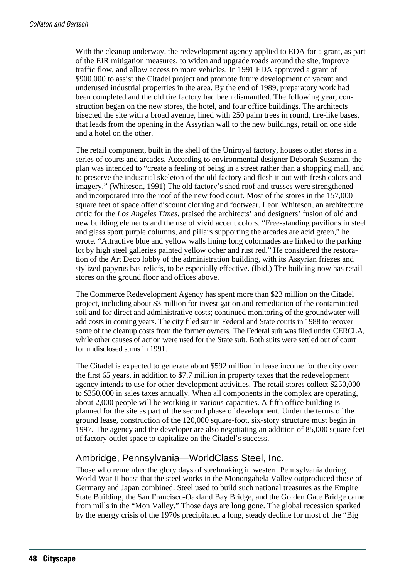With the cleanup underway, the redevelopment agency applied to EDA for a grant, as part of the EIR mitigation measures, to widen and upgrade roads around the site, improve traffic flow, and allow access to more vehicles. In 1991 EDA approved a grant of \$900,000 to assist the Citadel project and promote future development of vacant and underused industrial properties in the area. By the end of 1989, preparatory work had been completed and the old tire factory had been dismantled. The following year, construction began on the new stores, the hotel, and four office buildings. The architects bisected the site with a broad avenue, lined with 250 palm trees in round, tire-like bases, that leads from the opening in the Assyrian wall to the new buildings, retail on one side and a hotel on the other.

The retail component, built in the shell of the Uniroyal factory, houses outlet stores in a series of courts and arcades. According to environmental designer Deborah Sussman, the plan was intended to "create a feeling of being in a street rather than a shopping mall, and to preserve the industrial skeleton of the old factory and flesh it out with fresh colors and imagery." (Whiteson, 1991) The old factory's shed roof and trusses were strengthened and incorporated into the roof of the new food court. Most of the stores in the 157,000 square feet of space offer discount clothing and footwear. Leon Whiteson, an architecture critic for the *Los Angeles Times*, praised the architects' and designers' fusion of old and new building elements and the use of vivid accent colors. "Free-standing pavilions in steel and glass sport purple columns, and pillars supporting the arcades are acid green," he wrote. "Attractive blue and yellow walls lining long colonnades are linked to the parking lot by high steel galleries painted yellow ocher and rust red." He considered the restoration of the Art Deco lobby of the administration building, with its Assyrian friezes and stylized papyrus bas-reliefs, to be especially effective. (Ibid.) The building now has retail stores on the ground floor and offices above.

The Commerce Redevelopment Agency has spent more than \$23 million on the Citadel project, including about \$3 million for investigation and remediation of the contaminated soil and for direct and administrative costs; continued monitoring of the groundwater will add costs in coming years. The city filed suit in Federal and State courts in 1988 to recover some of the cleanup costs from the former owners. The Federal suit was filed under CERCLA, while other causes of action were used for the State suit. Both suits were settled out of court for undisclosed sums in 1991.

The Citadel is expected to generate about \$592 million in lease income for the city over the first 65 years, in addition to \$7.7 million in property taxes that the redevelopment agency intends to use for other development activities. The retail stores collect \$250,000 to \$350,000 in sales taxes annually. When all components in the complex are operating, about 2,000 people will be working in various capacities. A fifth office building is planned for the site as part of the second phase of development. Under the terms of the ground lease, construction of the 120,000 square-foot, six-story structure must begin in 1997. The agency and the developer are also negotiating an addition of 85,000 square feet of factory outlet space to capitalize on the Citadel's success.

#### Ambridge, Pennsylvania—WorldClass Steel, Inc.

Those who remember the glory days of steelmaking in western Pennsylvania during World War II boast that the steel works in the Monongahela Valley outproduced those of Germany and Japan combined. Steel used to build such national treasures as the Empire State Building, the San Francisco-Oakland Bay Bridge, and the Golden Gate Bridge came from mills in the "Mon Valley." Those days are long gone. The global recession sparked by the energy crisis of the 1970s precipitated a long, steady decline for most of the "Big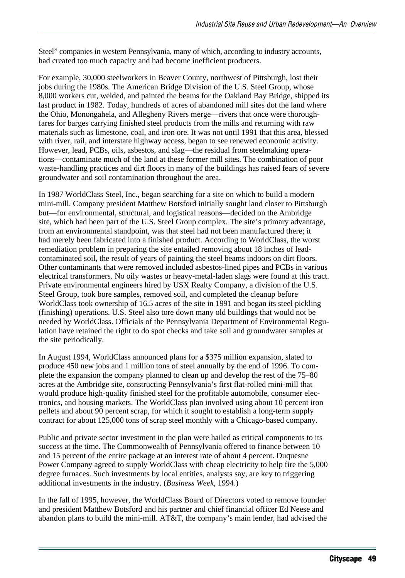Steel" companies in western Pennsylvania, many of which, according to industry accounts, had created too much capacity and had become inefficient producers.

For example, 30,000 steelworkers in Beaver County, northwest of Pittsburgh, lost their jobs during the 1980s. The American Bridge Division of the U.S. Steel Group, whose 8,000 workers cut, welded, and painted the beams for the Oakland Bay Bridge, shipped its last product in 1982. Today, hundreds of acres of abandoned mill sites dot the land where the Ohio, Monongahela, and Allegheny Rivers merge—rivers that once were thoroughfares for barges carrying finished steel products from the mills and returning with raw materials such as limestone, coal, and iron ore. It was not until 1991 that this area, blessed with river, rail, and interstate highway access, began to see renewed economic activity. However, lead, PCBs, oils, asbestos, and slag—the residual from steelmaking operations—contaminate much of the land at these former mill sites. The combination of poor waste-handling practices and dirt floors in many of the buildings has raised fears of severe groundwater and soil contamination throughout the area.

In 1987 WorldClass Steel, Inc., began searching for a site on which to build a modern mini-mill. Company president Matthew Botsford initially sought land closer to Pittsburgh but—for environmental, structural, and logistical reasons—decided on the Ambridge site, which had been part of the U.S. Steel Group complex. The site's primary advantage, from an environmental standpoint, was that steel had not been manufactured there; it had merely been fabricated into a finished product. According to WorldClass, the worst remediation problem in preparing the site entailed removing about 18 inches of leadcontaminated soil, the result of years of painting the steel beams indoors on dirt floors. Other contaminants that were removed included asbestos-lined pipes and PCBs in various electrical transformers. No oily wastes or heavy-metal-laden slags were found at this tract. Private environmental engineers hired by USX Realty Company, a division of the U.S. Steel Group, took bore samples, removed soil, and completed the cleanup before WorldClass took ownership of 16.5 acres of the site in 1991 and began its steel pickling (finishing) operations. U.S. Steel also tore down many old buildings that would not be needed by WorldClass. Officials of the Pennsylvania Department of Environmental Regulation have retained the right to do spot checks and take soil and groundwater samples at the site periodically.

In August 1994, WorldClass announced plans for a \$375 million expansion, slated to produce 450 new jobs and 1 million tons of steel annually by the end of 1996. To complete the expansion the company planned to clean up and develop the rest of the 75–80 acres at the Ambridge site, constructing Pennsylvania's first flat-rolled mini-mill that would produce high-quality finished steel for the profitable automobile, consumer electronics, and housing markets. The WorldClass plan involved using about 10 percent iron pellets and about 90 percent scrap, for which it sought to establish a long-term supply contract for about 125,000 tons of scrap steel monthly with a Chicago-based company.

Public and private sector investment in the plan were hailed as critical components to its success at the time. The Commonwealth of Pennsylvania offered to finance between 10 and 15 percent of the entire package at an interest rate of about 4 percent. Duquesne Power Company agreed to supply WorldClass with cheap electricity to help fire the 5,000 degree furnaces. Such investments by local entities, analysts say, are key to triggering additional investments in the industry. (*Business Week*, 1994.)

In the fall of 1995, however, the WorldClass Board of Directors voted to remove founder and president Matthew Botsford and his partner and chief financial officer Ed Neese and abandon plans to build the mini-mill. AT&T, the company's main lender, had advised the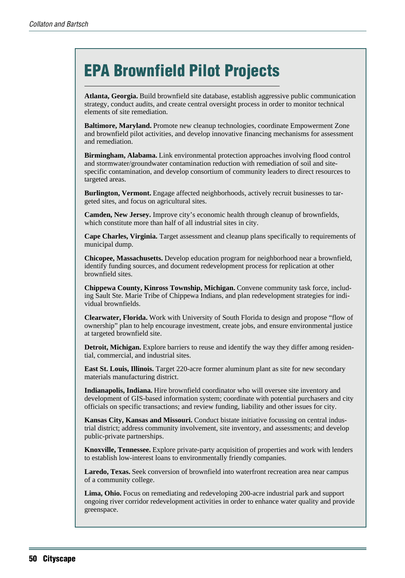# EPA Brownfield Pilot Projects

**Atlanta, Georgia.** Build brownfield site database, establish aggressive public communication strategy, conduct audits, and create central oversight process in order to monitor technical elements of site remediation.

**Baltimore, Maryland.** Promote new cleanup technologies, coordinate Empowerment Zone and brownfield pilot activities, and develop innovative financing mechanisms for assessment and remediation.

**Birmingham, Alabama.** Link environmental protection approaches involving flood control and stormwater/groundwater contamination reduction with remediation of soil and sitespecific contamination, and develop consortium of community leaders to direct resources to targeted areas.

**Burlington, Vermont.** Engage affected neighborhoods, actively recruit businesses to targeted sites, and focus on agricultural sites.

**Camden, New Jersey.** Improve city's economic health through cleanup of brownfields, which constitute more than half of all industrial sites in city.

**Cape Charles, Virginia.** Target assessment and cleanup plans specifically to requirements of municipal dump.

**Chicopee, Massachusetts.** Develop education program for neighborhood near a brownfield, identify funding sources, and document redevelopment process for replication at other brownfield sites.

**Chippewa County, Kinross Township, Michigan.** Convene community task force, including Sault Ste. Marie Tribe of Chippewa Indians, and plan redevelopment strategies for individual brownfields.

**Clearwater, Florida.** Work with University of South Florida to design and propose "flow of ownership" plan to help encourage investment, create jobs, and ensure environmental justice at targeted brownfield site.

**Detroit, Michigan.** Explore barriers to reuse and identify the way they differ among residential, commercial, and industrial sites.

**East St. Louis, Illinois.** Target 220-acre former aluminum plant as site for new secondary materials manufacturing district.

**Indianapolis, Indiana.** Hire brownfield coordinator who will oversee site inventory and development of GIS-based information system; coordinate with potential purchasers and city officials on specific transactions; and review funding, liability and other issues for city.

**Kansas City, Kansas and Missouri.** Conduct bistate initiative focussing on central industrial district; address community involvement, site inventory, and assessments; and develop public-private partnerships.

**Knoxville, Tennessee.** Explore private-party acquisition of properties and work with lenders to establish low-interest loans to environmentally friendly companies.

**Laredo, Texas.** Seek conversion of brownfield into waterfront recreation area near campus of a community college.

**Lima, Ohio.** Focus on remediating and redeveloping 200-acre industrial park and support ongoing river corridor redevelopment activities in order to enhance water quality and provide greenspace.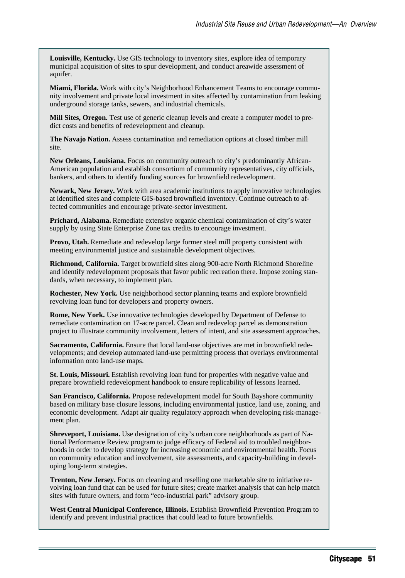**Louisville, Kentucky.** Use GIS technology to inventory sites, explore idea of temporary municipal acquisition of sites to spur development, and conduct areawide assessment of aquifer.

**Miami, Florida.** Work with city's Neighborhood Enhancement Teams to encourage community involvement and private local investment in sites affected by contamination from leaking underground storage tanks, sewers, and industrial chemicals.

**Mill Sites, Oregon.** Test use of generic cleanup levels and create a computer model to predict costs and benefits of redevelopment and cleanup.

**The Navajo Nation.** Assess contamination and remediation options at closed timber mill site.

**New Orleans, Louisiana.** Focus on community outreach to city's predominantly African-American population and establish consortium of community representatives, city officials, bankers, and others to identify funding sources for brownfield redevelopment.

**Newark, New Jersey.** Work with area academic institutions to apply innovative technologies at identified sites and complete GIS-based brownfield inventory. Continue outreach to affected communities and encourage private-sector investment.

**Prichard, Alabama.** Remediate extensive organic chemical contamination of city's water supply by using State Enterprise Zone tax credits to encourage investment.

**Provo, Utah.** Remediate and redevelop large former steel mill property consistent with meeting environmental justice and sustainable development objectives.

**Richmond, California.** Target brownfield sites along 900-acre North Richmond Shoreline and identify redevelopment proposals that favor public recreation there. Impose zoning standards, when necessary, to implement plan.

**Rochester, New York.** Use neighborhood sector planning teams and explore brownfield revolving loan fund for developers and property owners.

**Rome, New York.** Use innovative technologies developed by Department of Defense to remediate contamination on 17-acre parcel. Clean and redevelop parcel as demonstration project to illustrate community involvement, letters of intent, and site assessment approaches.

**Sacramento, California.** Ensure that local land-use objectives are met in brownfield redevelopments; and develop automated land-use permitting process that overlays environmental information onto land-use maps.

**St. Louis, Missouri.** Establish revolving loan fund for properties with negative value and prepare brownfield redevelopment handbook to ensure replicability of lessons learned.

**San Francisco, California.** Propose redevelopment model for South Bayshore community based on military base closure lessons, including environmental justice, land use, zoning, and economic development. Adapt air quality regulatory approach when developing risk-management plan.

**Shreveport, Louisiana.** Use designation of city's urban core neighborhoods as part of National Performance Review program to judge efficacy of Federal aid to troubled neighborhoods in order to develop strategy for increasing economic and environmental health. Focus on community education and involvement, site assessments, and capacity-building in developing long-term strategies.

**Trenton, New Jersey.** Focus on cleaning and reselling one marketable site to initiative revolving loan fund that can be used for future sites; create market analysis that can help match sites with future owners, and form "eco-industrial park" advisory group.

**West Central Municipal Conference, Illinois.** Establish Brownfield Prevention Program to identify and prevent industrial practices that could lead to future brownfields.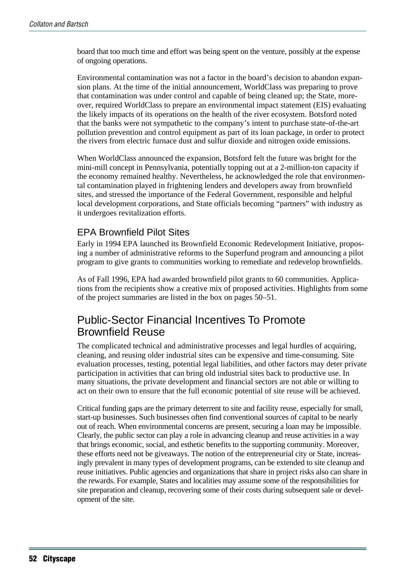board that too much time and effort was being spent on the venture, possibly at the expense of ongoing operations.

Environmental contamination was not a factor in the board's decision to abandon expansion plans. At the time of the initial announcement, WorldClass was preparing to prove that contamination was under control and capable of being cleaned up; the State, moreover, required WorldClass to prepare an environmental impact statement (EIS) evaluating the likely impacts of its operations on the health of the river ecosystem. Botsford noted that the banks were not sympathetic to the company's intent to purchase state-of-the-art pollution prevention and control equipment as part of its loan package, in order to protect the rivers from electric furnace dust and sulfur dioxide and nitrogen oxide emissions.

When WorldClass announced the expansion, Botsford felt the future was bright for the mini-mill concept in Pennsylvania, potentially topping out at a 2-million-ton capacity if the economy remained healthy. Nevertheless, he acknowledged the role that environmental contamination played in frightening lenders and developers away from brownfield sites, and stressed the importance of the Federal Government, responsible and helpful local development corporations, and State officials becoming "partners" with industry as it undergoes revitalization efforts.

#### EPA Brownfield Pilot Sites

Early in 1994 EPA launched its Brownfield Economic Redevelopment Initiative, proposing a number of administrative reforms to the Superfund program and announcing a pilot program to give grants to communities working to remediate and redevelop brownfields.

As of Fall 1996, EPA had awarded brownfield pilot grants to 60 communities. Applications from the recipients show a creative mix of proposed activities. Highlights from some of the project summaries are listed in the box on pages 50–51.

# Public-Sector Financial Incentives To Promote Brownfield Reuse

The complicated technical and administrative processes and legal hurdles of acquiring, cleaning, and reusing older industrial sites can be expensive and time-consuming. Site evaluation processes, testing, potential legal liabilities, and other factors may deter private participation in activities that can bring old industrial sites back to productive use. In many situations, the private development and financial sectors are not able or willing to act on their own to ensure that the full economic potential of site reuse will be achieved.

Critical funding gaps are the primary deterrent to site and facility reuse, especially for small, start-up businesses. Such businesses often find conventional sources of capital to be nearly out of reach. When environmental concerns are present, securing a loan may be impossible. Clearly, the public sector can play a role in advancing cleanup and reuse activities in a way that brings economic, social, and esthetic benefits to the supporting community. Moreover, these efforts need not be giveaways. The notion of the entrepreneurial city or State, increasingly prevalent in many types of development programs, can be extended to site cleanup and reuse initiatives. Public agencies and organizations that share in project risks also can share in the rewards. For example, States and localities may assume some of the responsibilities for site preparation and cleanup, recovering some of their costs during subsequent sale or development of the site.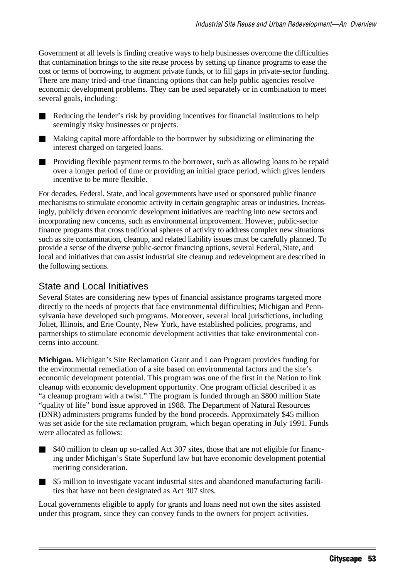Government at all levels is finding creative ways to help businesses overcome the difficulties that contamination brings to the site reuse process by setting up finance programs to ease the cost or terms of borrowing, to augment private funds, or to fill gaps in private-sector funding. There are many tried-and-true financing options that can help public agencies resolve economic development problems. They can be used separately or in combination to meet several goals, including:

■ Reducing the lender's risk by providing incentives for financial institutions to help seemingly risky businesses or projects.

- Making capital more affordable to the borrower by subsidizing or eliminating the interest charged on targeted loans.
- Providing flexible payment terms to the borrower, such as allowing loans to be repaid over a longer period of time or providing an initial grace period, which gives lenders incentive to be more flexible.

For decades, Federal, State, and local governments have used or sponsored public finance mechanisms to stimulate economic activity in certain geographic areas or industries. Increasingly, publicly driven economic development initiatives are reaching into new sectors and incorporating new concerns, such as environmental improvement. However, public-sector finance programs that cross traditional spheres of activity to address complex new situations such as site contamination, cleanup, and related liability issues must be carefully planned. To provide a sense of the diverse public-sector financing options, several Federal, State, and local and initiatives that can assist industrial site cleanup and redevelopment are described in the following sections.

#### State and Local Initiatives

Several States are considering new types of financial assistance programs targeted more directly to the needs of projects that face environmental difficulties; Michigan and Pennsylvania have developed such programs. Moreover, several local jurisdictions, including Joliet, Illinois, and Erie County, New York, have established policies, programs, and partnerships to stimulate economic development activities that take environmental concerns into account.

**Michigan.** Michigan's Site Reclamation Grant and Loan Program provides funding for the environmental remediation of a site based on environmental factors and the site's economic development potential. This program was one of the first in the Nation to link cleanup with economic development opportunity. One program official described it as "a cleanup program with a twist." The program is funded through an \$800 million State "quality of life" bond issue approved in 1988. The Department of Natural Resources (DNR) administers programs funded by the bond proceeds. Approximately \$45 million was set aside for the site reclamation program, which began operating in July 1991. Funds were allocated as follows:

- \$40 million to clean up so-called Act 307 sites, those that are not eligible for financing under Michigan's State Superfund law but have economic development potential meriting consideration.
- \$5 million to investigate vacant industrial sites and abandoned manufacturing facilities that have not been designated as Act 307 sites.

Local governments eligible to apply for grants and loans need not own the sites assisted under this program, since they can convey funds to the owners for project activities.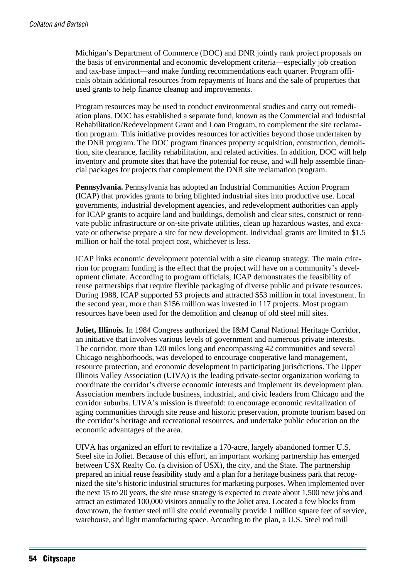Michigan's Department of Commerce (DOC) and DNR jointly rank project proposals on the basis of environmental and economic development criteria—especially job creation and tax-base impact—and make funding recommendations each quarter. Program officials obtain additional resources from repayments of loans and the sale of properties that used grants to help finance cleanup and improvements.

Program resources may be used to conduct environmental studies and carry out remediation plans. DOC has established a separate fund, known as the Commercial and Industrial Rehabilitation/Redevelopment Grant and Loan Program, to complement the site reclamation program. This initiative provides resources for activities beyond those undertaken by the DNR program. The DOC program finances property acquisition, construction, demolition, site clearance, facility rehabilitation, and related activities. In addition, DOC will help inventory and promote sites that have the potential for reuse, and will help assemble financial packages for projects that complement the DNR site reclamation program.

**Pennsylvania.** Pennsylvania has adopted an Industrial Communities Action Program (ICAP) that provides grants to bring blighted industrial sites into productive use. Local governments, industrial development agencies, and redevelopment authorities can apply for ICAP grants to acquire land and buildings, demolish and clear sites, construct or renovate public infrastructure or on-site private utilities, clean up hazardous wastes, and excavate or otherwise prepare a site for new development. Individual grants are limited to \$1.5 million or half the total project cost, whichever is less.

ICAP links economic development potential with a site cleanup strategy. The main criterion for program funding is the effect that the project will have on a community's development climate. According to program officials, ICAP demonstrates the feasibility of reuse partnerships that require flexible packaging of diverse public and private resources. During 1988, ICAP supported 53 projects and attracted \$53 million in total investment. In the second year, more than \$156 million was invested in 117 projects. Most program resources have been used for the demolition and cleanup of old steel mill sites.

**Joliet, Illinois.** In 1984 Congress authorized the I&M Canal National Heritage Corridor, an initiative that involves various levels of government and numerous private interests. The corridor, more than 120 miles long and encompassing 42 communities and several Chicago neighborhoods, was developed to encourage cooperative land management, resource protection, and economic development in participating jurisdictions. The Upper Illinois Valley Association (UIVA) is the leading private-sector organization working to coordinate the corridor's diverse economic interests and implement its development plan. Association members include business, industrial, and civic leaders from Chicago and the corridor suburbs. UIVA's mission is threefold: to encourage economic revitalization of aging communities through site reuse and historic preservation, promote tourism based on the corridor's heritage and recreational resources, and undertake public education on the economic advantages of the area.

UIVA has organized an effort to revitalize a 170-acre, largely abandoned former U.S. Steel site in Joliet. Because of this effort, an important working partnership has emerged between USX Realty Co. (a division of USX), the city, and the State. The partnership prepared an initial reuse feasibility study and a plan for a heritage business park that recognized the site's historic industrial structures for marketing purposes. When implemented over the next 15 to 20 years, the site reuse strategy is expected to create about 1,500 new jobs and attract an estimated 100,000 visitors annually to the Joliet area. Located a few blocks from downtown, the former steel mill site could eventually provide 1 million square feet of service, warehouse, and light manufacturing space. According to the plan, a U.S. Steel rod mill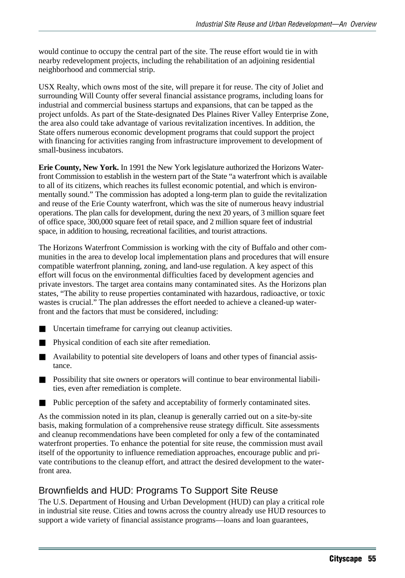would continue to occupy the central part of the site. The reuse effort would tie in with nearby redevelopment projects, including the rehabilitation of an adjoining residential neighborhood and commercial strip.

USX Realty, which owns most of the site, will prepare it for reuse. The city of Joliet and surrounding Will County offer several financial assistance programs, including loans for industrial and commercial business startups and expansions, that can be tapped as the project unfolds. As part of the State-designated Des Plaines River Valley Enterprise Zone, the area also could take advantage of various revitalization incentives. In addition, the State offers numerous economic development programs that could support the project with financing for activities ranging from infrastructure improvement to development of small-business incubators.

**Erie County, New York.** In 1991 the New York legislature authorized the Horizons Waterfront Commission to establish in the western part of the State "a waterfront which is available to all of its citizens, which reaches its fullest economic potential, and which is environmentally sound." The commission has adopted a long-term plan to guide the revitalization and reuse of the Erie County waterfront, which was the site of numerous heavy industrial operations. The plan calls for development, during the next 20 years, of 3 million square feet of office space, 300,000 square feet of retail space, and 2 million square feet of industrial space, in addition to housing, recreational facilities, and tourist attractions.

The Horizons Waterfront Commission is working with the city of Buffalo and other communities in the area to develop local implementation plans and procedures that will ensure compatible waterfront planning, zoning, and land-use regulation. A key aspect of this effort will focus on the environmental difficulties faced by development agencies and private investors. The target area contains many contaminated sites. As the Horizons plan states, "The ability to reuse properties contaminated with hazardous, radioactive, or toxic wastes is crucial." The plan addresses the effort needed to achieve a cleaned-up waterfront and the factors that must be considered, including:

- Uncertain timeframe for carrying out cleanup activities.
- Physical condition of each site after remediation.
- Availability to potential site developers of loans and other types of financial assistance.
- Possibility that site owners or operators will continue to bear environmental liabilities, even after remediation is complete.
- Public perception of the safety and acceptability of formerly contaminated sites.

As the commission noted in its plan, cleanup is generally carried out on a site-by-site basis, making formulation of a comprehensive reuse strategy difficult. Site assessments and cleanup recommendations have been completed for only a few of the contaminated waterfront properties. To enhance the potential for site reuse, the commission must avail itself of the opportunity to influence remediation approaches, encourage public and private contributions to the cleanup effort, and attract the desired development to the waterfront area.

## Brownfields and HUD: Programs To Support Site Reuse

The U.S. Department of Housing and Urban Development (HUD) can play a critical role in industrial site reuse. Cities and towns across the country already use HUD resources to support a wide variety of financial assistance programs—loans and loan guarantees,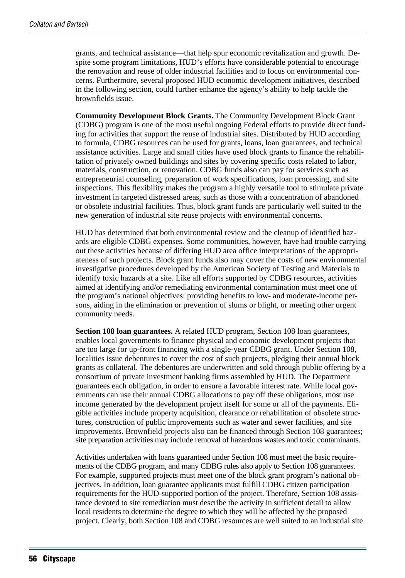grants, and technical assistance—that help spur economic revitalization and growth. Despite some program limitations, HUD's efforts have considerable potential to encourage the renovation and reuse of older industrial facilities and to focus on environmental concerns. Furthermore, several proposed HUD economic development initiatives, described in the following section, could further enhance the agency's ability to help tackle the brownfields issue.

**Community Development Block Grants.** The Community Development Block Grant (CDBG) program is one of the most useful ongoing Federal efforts to provide direct funding for activities that support the reuse of industrial sites. Distributed by HUD according to formula, CDBG resources can be used for grants, loans, loan guarantees, and technical assistance activities. Large and small cities have used block grants to finance the rehabilitation of privately owned buildings and sites by covering specific costs related to labor, materials, construction, or renovation. CDBG funds also can pay for services such as entrepreneurial counseling, preparation of work specifications, loan processing, and site inspections. This flexibility makes the program a highly versatile tool to stimulate private investment in targeted distressed areas, such as those with a concentration of abandoned or obsolete industrial facilities. Thus, block grant funds are particularly well suited to the new generation of industrial site reuse projects with environmental concerns.

HUD has determined that both environmental review and the cleanup of identified hazards are eligible CDBG expenses. Some communities, however, have had trouble carrying out these activities because of differing HUD area office interpretations of the appropriateness of such projects. Block grant funds also may cover the costs of new environmental investigative procedures developed by the American Society of Testing and Materials to identify toxic hazards at a site. Like all efforts supported by CDBG resources, activities aimed at identifying and/or remediating environmental contamination must meet one of the program's national objectives: providing benefits to low- and moderate-income persons, aiding in the elimination or prevention of slums or blight, or meeting other urgent community needs.

**Section 108 loan guarantees.** A related HUD program, Section 108 loan guarantees, enables local governments to finance physical and economic development projects that are too large for up-front financing with a single-year CDBG grant. Under Section 108, localities issue debentures to cover the cost of such projects, pledging their annual block grants as collateral. The debentures are underwritten and sold through public offering by a consortium of private investment banking firms assembled by HUD. The Department guarantees each obligation, in order to ensure a favorable interest rate. While local governments can use their annual CDBG allocations to pay off these obligations, most use income generated by the development project itself for some or all of the payments. Eligible activities include property acquisition, clearance or rehabilitation of obsolete structures, construction of public improvements such as water and sewer facilities, and site improvements. Brownfield projects also can be financed through Section 108 guarantees; site preparation activities may include removal of hazardous wastes and toxic contaminants.

Activities undertaken with loans guaranteed under Section 108 must meet the basic requirements of the CDBG program, and many CDBG rules also apply to Section 108 guarantees. For example, supported projects must meet one of the block grant program's national objectives. In addition, loan guarantee applicants must fulfill CDBG citizen participation requirements for the HUD-supported portion of the project. Therefore, Section 108 assistance devoted to site remediation must describe the activity in sufficient detail to allow local residents to determine the degree to which they will be affected by the proposed project. Clearly, both Section 108 and CDBG resources are well suited to an industrial site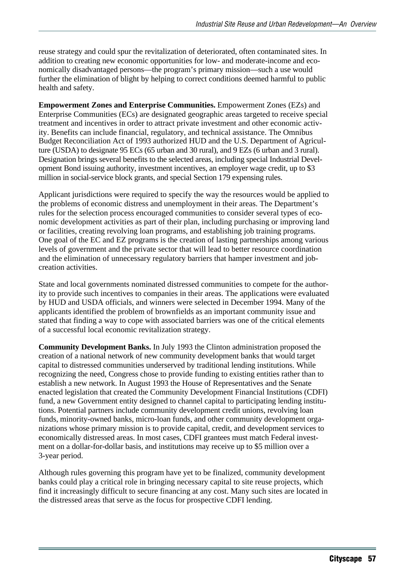reuse strategy and could spur the revitalization of deteriorated, often contaminated sites. In addition to creating new economic opportunities for low- and moderate-income and economically disadvantaged persons—the program's primary mission—such a use would further the elimination of blight by helping to correct conditions deemed harmful to public health and safety.

**Empowerment Zones and Enterprise Communities.** Empowerment Zones (EZs) and Enterprise Communities (ECs) are designated geographic areas targeted to receive special treatment and incentives in order to attract private investment and other economic activity. Benefits can include financial, regulatory, and technical assistance. The Omnibus Budget Reconciliation Act of 1993 authorized HUD and the U.S. Department of Agriculture (USDA) to designate 95 ECs (65 urban and 30 rural), and 9 EZs (6 urban and 3 rural). Designation brings several benefits to the selected areas, including special Industrial Development Bond issuing authority, investment incentives, an employer wage credit, up to \$3 million in social-service block grants, and special Section 179 expensing rules.

Applicant jurisdictions were required to specify the way the resources would be applied to the problems of economic distress and unemployment in their areas. The Department's rules for the selection process encouraged communities to consider several types of economic development activities as part of their plan, including purchasing or improving land or facilities, creating revolving loan programs, and establishing job training programs. One goal of the EC and EZ programs is the creation of lasting partnerships among various levels of government and the private sector that will lead to better resource coordination and the elimination of unnecessary regulatory barriers that hamper investment and jobcreation activities.

State and local governments nominated distressed communities to compete for the authority to provide such incentives to companies in their areas. The applications were evaluated by HUD and USDA officials, and winners were selected in December 1994. Many of the applicants identified the problem of brownfields as an important community issue and stated that finding a way to cope with associated barriers was one of the critical elements of a successful local economic revitalization strategy.

**Community Development Banks.** In July 1993 the Clinton administration proposed the creation of a national network of new community development banks that would target capital to distressed communities underserved by traditional lending institutions. While recognizing the need, Congress chose to provide funding to existing entities rather than to establish a new network. In August 1993 the House of Representatives and the Senate enacted legislation that created the Community Development Financial Institutions (CDFI) fund, a new Government entity designed to channel capital to participating lending institutions. Potential partners include community development credit unions, revolving loan funds, minority-owned banks, micro-loan funds, and other community development organizations whose primary mission is to provide capital, credit, and development services to economically distressed areas. In most cases, CDFI grantees must match Federal investment on a dollar-for-dollar basis, and institutions may receive up to \$5 million over a 3-year period.

Although rules governing this program have yet to be finalized, community development banks could play a critical role in bringing necessary capital to site reuse projects, which find it increasingly difficult to secure financing at any cost. Many such sites are located in the distressed areas that serve as the focus for prospective CDFI lending.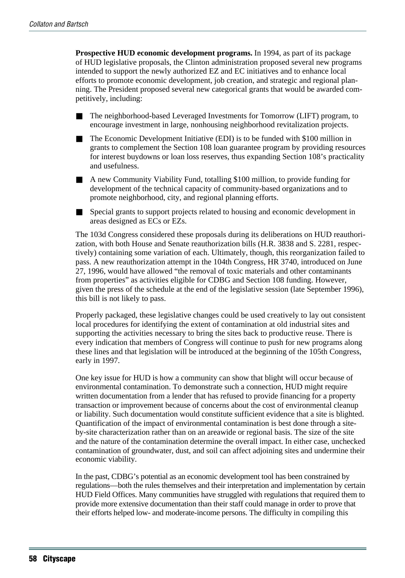**Prospective HUD economic development programs.** In 1994, as part of its package of HUD legislative proposals, the Clinton administration proposed several new programs intended to support the newly authorized EZ and EC initiatives and to enhance local efforts to promote economic development, job creation, and strategic and regional planning. The President proposed several new categorical grants that would be awarded competitively, including:

- The neighborhood-based Leveraged Investments for Tomorrow (LIFT) program, to encourage investment in large, nonhousing neighborhood revitalization projects.
- The Economic Development Initiative (EDI) is to be funded with \$100 million in grants to complement the Section 108 loan guarantee program by providing resources for interest buydowns or loan loss reserves, thus expanding Section 108's practicality and usefulness.
- A new Community Viability Fund, totalling \$100 million, to provide funding for development of the technical capacity of community-based organizations and to promote neighborhood, city, and regional planning efforts.
- Special grants to support projects related to housing and economic development in areas designed as ECs or EZs.

The 103d Congress considered these proposals during its deliberations on HUD reauthorization, with both House and Senate reauthorization bills (H.R. 3838 and S. 2281, respectively) containing some variation of each. Ultimately, though, this reorganization failed to pass. A new reauthorization attempt in the 104th Congress, HR 3740, introduced on June 27, 1996, would have allowed "the removal of toxic materials and other contaminants from properties" as activities eligible for CDBG and Section 108 funding. However, given the press of the schedule at the end of the legislative session (late September 1996), this bill is not likely to pass.

Properly packaged, these legislative changes could be used creatively to lay out consistent local procedures for identifying the extent of contamination at old industrial sites and supporting the activities necessary to bring the sites back to productive reuse. There is every indication that members of Congress will continue to push for new programs along these lines and that legislation will be introduced at the beginning of the 105th Congress, early in 1997.

One key issue for HUD is how a community can show that blight will occur because of environmental contamination. To demonstrate such a connection, HUD might require written documentation from a lender that has refused to provide financing for a property transaction or improvement because of concerns about the cost of environmental cleanup or liability. Such documentation would constitute sufficient evidence that a site is blighted. Quantification of the impact of environmental contamination is best done through a siteby-site characterization rather than on an areawide or regional basis. The size of the site and the nature of the contamination determine the overall impact. In either case, unchecked contamination of groundwater, dust, and soil can affect adjoining sites and undermine their economic viability.

In the past, CDBG's potential as an economic development tool has been constrained by regulations—both the rules themselves and their interpretation and implementation by certain HUD Field Offices. Many communities have struggled with regulations that required them to provide more extensive documentation than their staff could manage in order to prove that their efforts helped low- and moderate-income persons. The difficulty in compiling this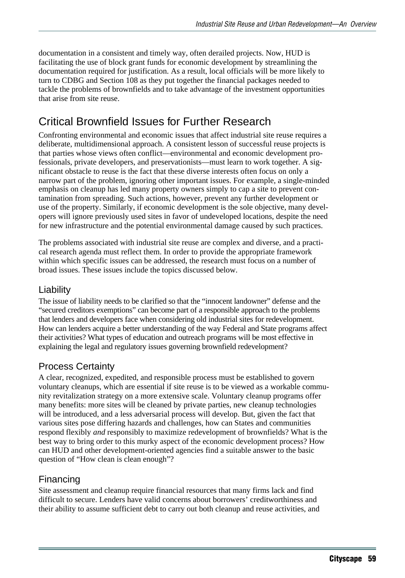documentation in a consistent and timely way, often derailed projects. Now, HUD is facilitating the use of block grant funds for economic development by streamlining the documentation required for justification. As a result, local officials will be more likely to turn to CDBG and Section 108 as they put together the financial packages needed to tackle the problems of brownfields and to take advantage of the investment opportunities that arise from site reuse.

# Critical Brownfield Issues for Further Research

Confronting environmental and economic issues that affect industrial site reuse requires a deliberate, multidimensional approach. A consistent lesson of successful reuse projects is that parties whose views often conflict—environmental and economic development professionals, private developers, and preservationists—must learn to work together. A significant obstacle to reuse is the fact that these diverse interests often focus on only a narrow part of the problem, ignoring other important issues. For example, a single-minded emphasis on cleanup has led many property owners simply to cap a site to prevent contamination from spreading. Such actions, however, prevent any further development or use of the property. Similarly, if economic development is the sole objective, many developers will ignore previously used sites in favor of undeveloped locations, despite the need for new infrastructure and the potential environmental damage caused by such practices.

The problems associated with industrial site reuse are complex and diverse, and a practical research agenda must reflect them. In order to provide the appropriate framework within which specific issues can be addressed, the research must focus on a number of broad issues. These issues include the topics discussed below.

#### Liability

The issue of liability needs to be clarified so that the "innocent landowner" defense and the "secured creditors exemptions" can become part of a responsible approach to the problems that lenders and developers face when considering old industrial sites for redevelopment. How can lenders acquire a better understanding of the way Federal and State programs affect their activities? What types of education and outreach programs will be most effective in explaining the legal and regulatory issues governing brownfield redevelopment?

#### Process Certainty

A clear, recognized, expedited, and responsible process must be established to govern voluntary cleanups, which are essential if site reuse is to be viewed as a workable community revitalization strategy on a more extensive scale. Voluntary cleanup programs offer many benefits: more sites will be cleaned by private parties, new cleanup technologies will be introduced, and a less adversarial process will develop. But, given the fact that various sites pose differing hazards and challenges, how can States and communities respond flexibly *and* responsibly to maximize redevelopment of brownfields? What is the best way to bring order to this murky aspect of the economic development process? How can HUD and other development-oriented agencies find a suitable answer to the basic question of "How clean is clean enough"?

#### Financing

Site assessment and cleanup require financial resources that many firms lack and find difficult to secure. Lenders have valid concerns about borrowers' creditworthiness and their ability to assume sufficient debt to carry out both cleanup and reuse activities, and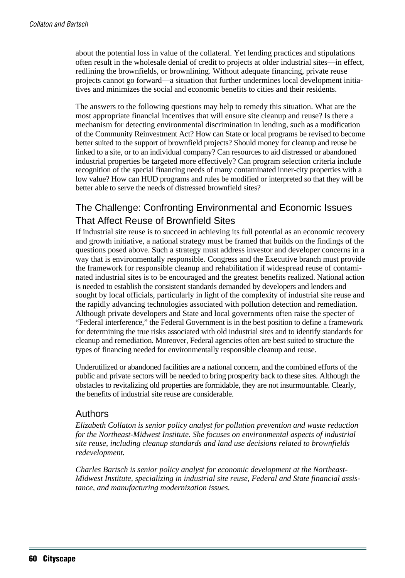about the potential loss in value of the collateral. Yet lending practices and stipulations often result in the wholesale denial of credit to projects at older industrial sites—in effect, redlining the brownfields, or brownlining. Without adequate financing, private reuse projects cannot go forward—a situation that further undermines local development initiatives and minimizes the social and economic benefits to cities and their residents.

The answers to the following questions may help to remedy this situation. What are the most appropriate financial incentives that will ensure site cleanup and reuse? Is there a mechanism for detecting environmental discrimination in lending, such as a modification of the Community Reinvestment Act? How can State or local programs be revised to become better suited to the support of brownfield projects? Should money for cleanup and reuse be linked to a site, or to an individual company? Can resources to aid distressed or abandoned industrial properties be targeted more effectively? Can program selection criteria include recognition of the special financing needs of many contaminated inner-city properties with a low value? How can HUD programs and rules be modified or interpreted so that they will be better able to serve the needs of distressed brownfield sites?

## The Challenge: Confronting Environmental and Economic Issues That Affect Reuse of Brownfield Sites

If industrial site reuse is to succeed in achieving its full potential as an economic recovery and growth initiative, a national strategy must be framed that builds on the findings of the questions posed above. Such a strategy must address investor and developer concerns in a way that is environmentally responsible. Congress and the Executive branch must provide the framework for responsible cleanup and rehabilitation if widespread reuse of contaminated industrial sites is to be encouraged and the greatest benefits realized. National action is needed to establish the consistent standards demanded by developers and lenders and sought by local officials, particularly in light of the complexity of industrial site reuse and the rapidly advancing technologies associated with pollution detection and remediation. Although private developers and State and local governments often raise the specter of "Federal interference," the Federal Government is in the best position to define a framework for determining the true risks associated with old industrial sites and to identify standards for cleanup and remediation. Moreover, Federal agencies often are best suited to structure the types of financing needed for environmentally responsible cleanup and reuse.

Underutilized or abandoned facilities are a national concern, and the combined efforts of the public and private sectors will be needed to bring prosperity back to these sites. Although the obstacles to revitalizing old properties are formidable, they are not insurmountable. Clearly, the benefits of industrial site reuse are considerable.

#### Authors

*Elizabeth Collaton is senior policy analyst for pollution prevention and waste reduction for the Northeast-Midwest Institute. She focuses on environmental aspects of industrial site reuse, including cleanup standards and land use decisions related to brownfields redevelopment.*

*Charles Bartsch is senior policy analyst for economic development at the Northeast-Midwest Institute, specializing in industrial site reuse, Federal and State financial assistance, and manufacturing modernization issues.*